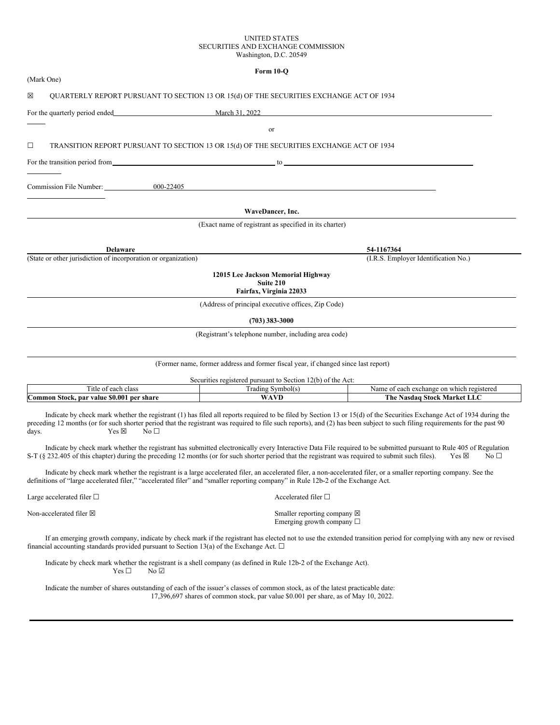#### UNITED STATES SECURITIES AND EXCHANGE COMMISSION Washington, D.C. 20549

| Form 10-Q                                                                                                                                                                                                                      |                                                                                                                                                                                                                                |
|--------------------------------------------------------------------------------------------------------------------------------------------------------------------------------------------------------------------------------|--------------------------------------------------------------------------------------------------------------------------------------------------------------------------------------------------------------------------------|
| (Mark One)                                                                                                                                                                                                                     |                                                                                                                                                                                                                                |
| X<br>QUARTERLY REPORT PURSUANT TO SECTION 13 OR 15(d) OF THE SECURITIES EXCHANGE ACT OF 1934                                                                                                                                   |                                                                                                                                                                                                                                |
| For the quarterly period ended<br>March 31, 2022                                                                                                                                                                               |                                                                                                                                                                                                                                |
| <sub>or</sub>                                                                                                                                                                                                                  |                                                                                                                                                                                                                                |
| $\Box$<br>TRANSITION REPORT PURSUANT TO SECTION 13 OR 15(d) OF THE SECURITIES EXCHANGE ACT OF 1934                                                                                                                             |                                                                                                                                                                                                                                |
| For the transition period from the contract of the contract of the contract of the contract of the contract of the contract of the contract of the contract of the contract of the contract of the contract of the contract of | to the contract of the contract of the contract of the contract of the contract of the contract of the contract of the contract of the contract of the contract of the contract of the contract of the contract of the contrac |
| Commission File Number: 000-22405                                                                                                                                                                                              |                                                                                                                                                                                                                                |
| WaveDancer, Inc.                                                                                                                                                                                                               |                                                                                                                                                                                                                                |
| (Exact name of registrant as specified in its charter)                                                                                                                                                                         |                                                                                                                                                                                                                                |
| <b>Delaware</b>                                                                                                                                                                                                                | 54-1167364                                                                                                                                                                                                                     |
| (State or other jurisdiction of incorporation or organization)                                                                                                                                                                 | (I.R.S. Employer Identification No.)                                                                                                                                                                                           |
| 12015 Lee Jackson Memorial Highway<br>Suite 210<br>Fairfax, Virginia 22033                                                                                                                                                     |                                                                                                                                                                                                                                |
| (Address of principal executive offices, Zip Code)                                                                                                                                                                             |                                                                                                                                                                                                                                |
| $(703)$ 383-3000                                                                                                                                                                                                               |                                                                                                                                                                                                                                |

(Registrant's telephone number, including area code)

(Former name, former address and former fiscal year, if changed since last report)

| s registered pursuant to Section 12(b) of the $\lambda$<br>Act:<br>securities |                                                                             |                                                |  |  |  |  |  |  |
|-------------------------------------------------------------------------------|-----------------------------------------------------------------------------|------------------------------------------------|--|--|--|--|--|--|
| m.<br>each class<br>itle of                                                   | Symbol(s)<br>rading                                                         | f each exchange on which registered<br>Name of |  |  |  |  |  |  |
| . par value \$0.001<br>∽<br>Common Stock,<br>. per share                      | $\boldsymbol{\Lambda}$ $\boldsymbol{\mathrm{V}}$ $\boldsymbol{\Gamma}$<br>w | The.<br>Stock Market LLC<br>Nasdaɑ             |  |  |  |  |  |  |

Indicate by check mark whether the registrant (1) has filed all reports required to be filed by Section 13 or 15(d) of the Securities Exchange Act of 1934 during the preceding 12 months (or for such shorter period that the registrant was required to file such reports), and (2) has been subject to such filing requirements for the past 90 days.  $\qquad \qquad \text{Yes} \boxtimes \qquad \text{No} \square$ 

Indicate by check mark whether the registrant has submitted electronically every Interactive Data File required to be submitted pursuant to Rule 405 of Regulation S-T (§ 232.405 of this chapter) during the preceding 12 months (or for such shorter period that the registrant was required to submit such files). Yes  $\boxtimes$  No  $\Box$ 

Indicate by check mark whether the registrant is a large accelerated filer, an accelerated filer, a non-accelerated filer, or a smaller reporting company. See the definitions of "large accelerated filer," "accelerated filer" and "smaller reporting company" in Rule 12b-2 of the Exchange Act.

Large accelerated filer  $\Box$  <br>  $\label{eq:accelerated} \text{Accelerated filter } \Box$ 

Non-accelerated filer  $\boxtimes$  Smaller reporting company  $\boxtimes$ 

Emerging growth company ☐

If an emerging growth company, indicate by check mark if the registrant has elected not to use the extended transition period for complying with any new or revised financial accounting standards provided pursuant to Section 13(a) of the Exchange Act.  $\Box$ 

Indicate by check mark whether the registrant is a shell company (as defined in Rule 12b-2 of the Exchange Act). Yes □ No ☑

Indicate the number of shares outstanding of each of the issuer's classes of common stock, as of the latest practicable date: 17,396,697 shares of common stock, par value \$0.001 per share, as of May 10, 2022.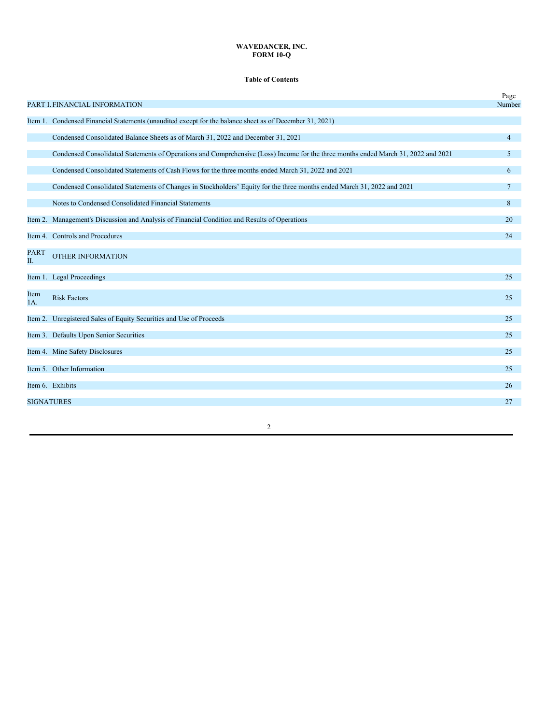## **WAVEDANCER, INC. FORM 10-Q**

## **Table of Contents**

|                   |                                                                                                                                    | Page           |
|-------------------|------------------------------------------------------------------------------------------------------------------------------------|----------------|
|                   | PART I. FINANCIAL INFORMATION                                                                                                      | Number         |
| Item 1.           | Condensed Financial Statements (unaudited except for the balance sheet as of December 31, 2021)                                    |                |
|                   | Condensed Consolidated Balance Sheets as of March 31, 2022 and December 31, 2021                                                   | $\overline{4}$ |
|                   | Condensed Consolidated Statements of Operations and Comprehensive (Loss) Income for the three months ended March 31, 2022 and 2021 | 5              |
|                   | Condensed Consolidated Statements of Cash Flows for the three months ended March 31, 2022 and 2021                                 | 6              |
|                   | Condensed Consolidated Statements of Changes in Stockholders' Equity for the three months ended March 31, 2022 and 2021            | $\tau$         |
|                   | Notes to Condensed Consolidated Financial Statements                                                                               | 8              |
|                   | Item 2. Management's Discussion and Analysis of Financial Condition and Results of Operations                                      | 20             |
|                   | Item 4. Controls and Procedures                                                                                                    | 24             |
| <b>PART</b><br>П. | <b>OTHER INFORMATION</b>                                                                                                           |                |
|                   | Item 1. Legal Proceedings                                                                                                          | 25             |
| Item<br>1A.       | <b>Risk Factors</b>                                                                                                                | 25             |
|                   | Item 2. Unregistered Sales of Equity Securities and Use of Proceeds                                                                | 25             |
|                   | Item 3. Defaults Upon Senior Securities                                                                                            | 25             |
|                   | Item 4. Mine Safety Disclosures                                                                                                    | 25             |
|                   | Item 5. Other Information                                                                                                          | 25             |
|                   | Item 6. Exhibits                                                                                                                   | 26             |
|                   | <b>SIGNATURES</b>                                                                                                                  | 27             |

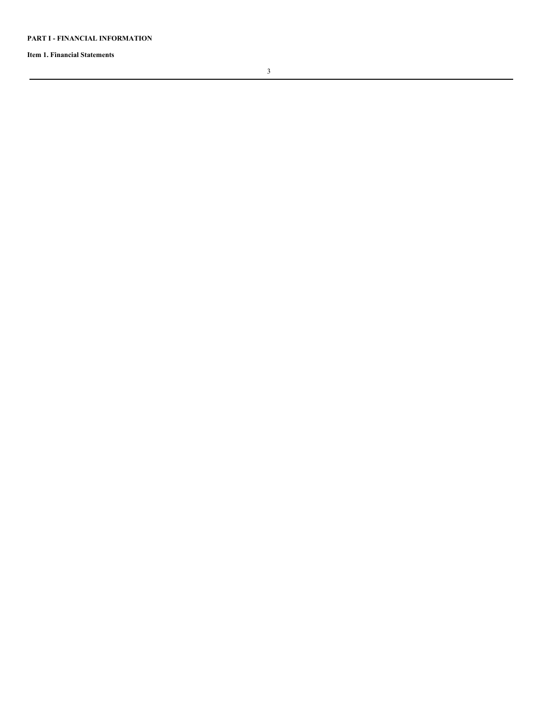**Item 1. Financial Statements**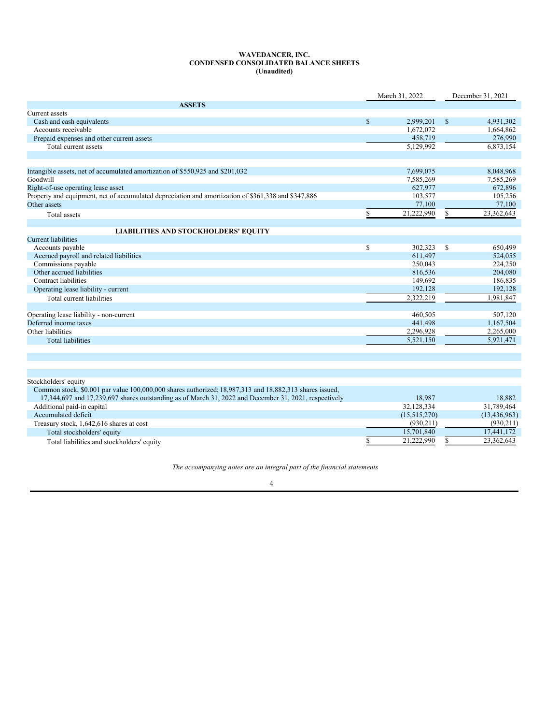#### **WAVEDANCER, INC. CONDENSED CONSOLIDATED BALANCE SHEETS (Unaudited)**

|                                                                                                     |             | March 31, 2022 | December 31, 2021 |            |  |
|-----------------------------------------------------------------------------------------------------|-------------|----------------|-------------------|------------|--|
| <b>ASSETS</b>                                                                                       |             |                |                   |            |  |
| Current assets                                                                                      |             |                |                   |            |  |
| Cash and cash equivalents                                                                           | $\mathbf S$ | 2,999,201      | $\mathbf S$       | 4,931,302  |  |
| Accounts receivable                                                                                 |             | 1,672,072      |                   | 1,664,862  |  |
| Prepaid expenses and other current assets                                                           |             | 458,719        |                   | 276,990    |  |
| Total current assets                                                                                |             | 5,129,992      |                   | 6,873,154  |  |
|                                                                                                     |             |                |                   |            |  |
|                                                                                                     |             |                |                   |            |  |
| Intangible assets, net of accumulated amortization of \$550,925 and \$201,032                       |             | 7,699,075      |                   | 8,048,968  |  |
| Goodwill                                                                                            |             | 7,585,269      |                   | 7,585,269  |  |
| Right-of-use operating lease asset                                                                  |             | 627,977        |                   | 672,896    |  |
| Property and equipment, net of accumulated depreciation and amortization of \$361,338 and \$347,886 |             | 103,577        |                   | 105,256    |  |
| Other assets                                                                                        |             | 77,100         |                   | 77,100     |  |
| <b>Total assets</b>                                                                                 | \$          | 21,222,990     | \$                | 23,362,643 |  |
|                                                                                                     |             |                |                   |            |  |
| <b>LIABILITIES AND STOCKHOLDERS' EQUITY</b>                                                         |             |                |                   |            |  |
| <b>Current liabilities</b>                                                                          |             |                |                   |            |  |
| Accounts payable                                                                                    | \$          | 302,323        | <sup>S</sup>      | 650,499    |  |
| Accrued payroll and related liabilities                                                             |             | 611,497        |                   | 524,055    |  |
| Commissions payable                                                                                 |             | 250,043        |                   | 224,250    |  |
| Other accrued liabilities                                                                           |             | 816,536        |                   | 204,080    |  |
| Contract liabilities                                                                                |             | 149,692        |                   | 186,835    |  |
| Operating lease liability - current                                                                 |             | 192,128        |                   | 192,128    |  |
| Total current liabilities                                                                           |             | 2,322,219      |                   | 1,981,847  |  |
|                                                                                                     |             |                |                   |            |  |
| Operating lease liability - non-current                                                             |             | 460,505        |                   | 507,120    |  |
| Deferred income taxes                                                                               |             | 441,498        |                   | 1,167,504  |  |
| Other liabilities                                                                                   |             | 2,296,928      |                   | 2,265,000  |  |
| <b>Total liabilities</b>                                                                            |             | 5,521,150      |                   | 5,921,471  |  |
|                                                                                                     |             |                |                   |            |  |
|                                                                                                     |             |                |                   |            |  |
|                                                                                                     |             |                |                   |            |  |
| Stockholders' equity                                                                                |             |                |                   |            |  |
|                                                                                                     |             |                |                   |            |  |

| Common stock, \$0.001 par value 100,000,000 shares authorized; 18,987,313 and 18,882,313 shares issued, |              |                |
|---------------------------------------------------------------------------------------------------------|--------------|----------------|
| 17,344,697 and 17,239,697 shares outstanding as of March 31, 2022 and December 31, 2021, respectively   | 18.987       | 18.882         |
| Additional paid-in capital                                                                              | 32,128,334   | 31,789,464     |
| Accumulated deficit                                                                                     | (15,515,270) | (13, 436, 963) |
| Treasury stock, 1,642,616 shares at cost                                                                | (930,211)    | (930,211)      |
| Total stockholders' equity                                                                              | 15,701,840   | 17,441,172     |
| Total liabilities and stockholders' equity                                                              | 21.222.990   | 23.362.643     |

*The accompanying notes are an integral part of the financial statements*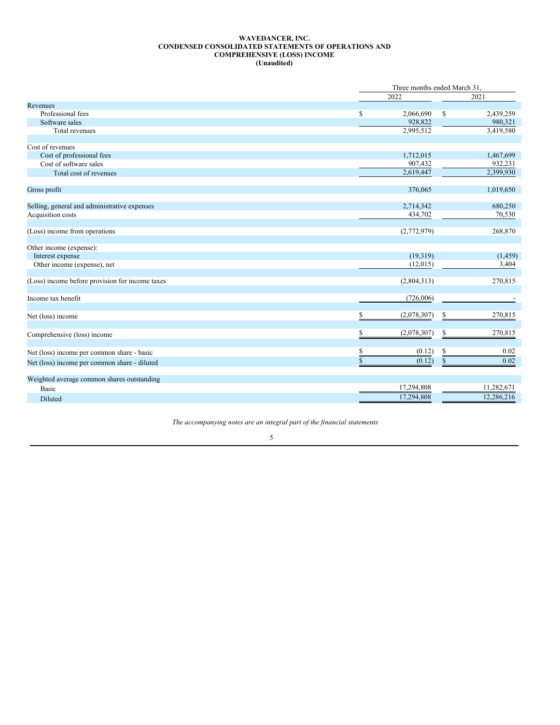### **WAVEDANCER, INC. CONDENSED CONSOLIDATED STATEMENTS OF OPERATIONS AND COMPREHENSIVE (LOSS) INCOME (Unaudited)**

|                                                 |    | Three months ended March 31, |              |            |  |  |
|-------------------------------------------------|----|------------------------------|--------------|------------|--|--|
|                                                 |    | 2022                         |              | 2021       |  |  |
| Revenues                                        |    |                              |              |            |  |  |
| Professional fees                               | \$ | 2,066,690                    | \$           | 2,439,259  |  |  |
| Software sales                                  |    | 928,822                      |              | 980,321    |  |  |
| Total revenues                                  |    | 2,995,512                    |              | 3,419,580  |  |  |
|                                                 |    |                              |              |            |  |  |
| Cost of revenues                                |    |                              |              |            |  |  |
| Cost of professional fees                       |    | 1,712,015                    |              | 1,467,699  |  |  |
| Cost of software sales                          |    | 907,432                      |              | 932,231    |  |  |
| Total cost of revenues                          |    | 2,619,447                    |              | 2,399,930  |  |  |
|                                                 |    |                              |              |            |  |  |
| Gross profit                                    |    | 376,065                      |              | 1,019,650  |  |  |
| Selling, general and administrative expenses    |    | 2,714,342                    |              | 680,250    |  |  |
| Acquisition costs                               |    | 434,702                      |              | 70,530     |  |  |
|                                                 |    |                              |              |            |  |  |
| (Loss) income from operations                   |    | (2,772,979)                  |              | 268,870    |  |  |
|                                                 |    |                              |              |            |  |  |
| Other income (expense):                         |    |                              |              |            |  |  |
| Interest expense                                |    | (19,319)                     |              | (1, 459)   |  |  |
| Other income (expense), net                     |    | (12, 015)                    |              | 3,404      |  |  |
|                                                 |    |                              |              |            |  |  |
| (Loss) income before provision for income taxes |    | (2,804,313)                  |              | 270,815    |  |  |
|                                                 |    |                              |              |            |  |  |
| Income tax benefit                              |    | (726,006)                    |              |            |  |  |
|                                                 |    |                              |              |            |  |  |
| Net (loss) income                               |    | (2,078,307)                  | S            | 270,815    |  |  |
|                                                 |    |                              |              |            |  |  |
| Comprehensive (loss) income                     |    | (2,078,307)                  | \$           | 270,815    |  |  |
|                                                 |    |                              |              |            |  |  |
| Net (loss) income per common share - basic      | \$ | (0.12)                       | \$           | 0.02       |  |  |
| Net (loss) income per common share - diluted    | S  | (0.12)                       | $\mathbb{S}$ | 0.02       |  |  |
|                                                 |    |                              |              |            |  |  |
| Weighted average common shares outstanding      |    |                              |              | 11,282,671 |  |  |
| Basic                                           |    | 17,294,808                   |              |            |  |  |
| Diluted                                         |    | 17,294,808                   |              | 12,286,216 |  |  |

*The accompanying notes are an integral part of the financial statements*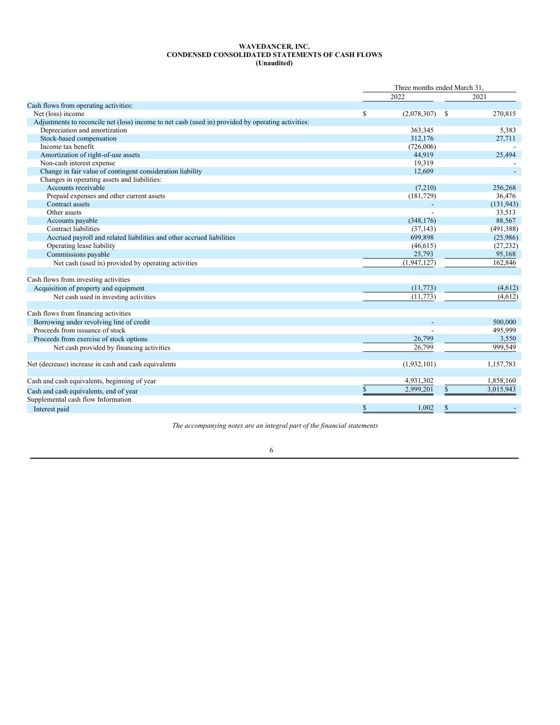#### **WAVEDANCER, INC. CONDENSED CONSOLIDATED STATEMENTS OF CASH FLOWS (Unaudited)**

|                                                                                                    | Three months ended March 31, |                 |  |  |  |
|----------------------------------------------------------------------------------------------------|------------------------------|-----------------|--|--|--|
|                                                                                                    | 2022                         | 2021            |  |  |  |
| Cash flows from operating activities:                                                              |                              |                 |  |  |  |
| Net (loss) income<br>S                                                                             | (2,078,307)                  | 270,815<br>-S   |  |  |  |
| Adjustments to reconcile net (loss) income to net cash (used in) provided by operating activities: |                              |                 |  |  |  |
| Depreciation and amortization                                                                      | 363,345                      | 5,383           |  |  |  |
| Stock-based compensation                                                                           | 312,176                      | 27,711          |  |  |  |
| Income tax benefit                                                                                 | (726,006)                    |                 |  |  |  |
| Amortization of right-of-use assets                                                                | 44,919                       | 25,494          |  |  |  |
| Non-cash interest expense                                                                          | 19,319                       |                 |  |  |  |
| Change in fair value of contingent consideration liability                                         | 12,609                       |                 |  |  |  |
| Changes in operating assets and liabilities:                                                       |                              |                 |  |  |  |
| Accounts receivable                                                                                | (7,210)                      | 256,268         |  |  |  |
| Prepaid expenses and other current assets                                                          | (181, 729)                   | 36,476          |  |  |  |
| Contract assets                                                                                    |                              | (131, 943)      |  |  |  |
| Other assets                                                                                       |                              | 33,513          |  |  |  |
| Accounts payable                                                                                   | (348, 176)                   | 88,567          |  |  |  |
| Contract liabilities                                                                               | (37, 143)                    | (491, 388)      |  |  |  |
| Accrued payroll and related liabilities and other accrued liabilities                              | 699,898                      | (25,986)        |  |  |  |
| Operating lease liability                                                                          | (46, 615)                    | (27, 232)       |  |  |  |
| Commissions payable                                                                                | 25,793                       | 95.168          |  |  |  |
| Net cash (used in) provided by operating activities                                                | (1,947,127)                  | 162,846         |  |  |  |
|                                                                                                    |                              |                 |  |  |  |
| Cash flows from investing activities                                                               |                              |                 |  |  |  |
| Acquisition of property and equipment                                                              | (11,773)                     | (4,612)         |  |  |  |
| Net cash used in investing activities                                                              | (11,773)                     | (4,612)         |  |  |  |
|                                                                                                    |                              |                 |  |  |  |
| Cash flows from financing activities                                                               |                              |                 |  |  |  |
| Borrowing under revolving line of credit                                                           |                              | 500,000         |  |  |  |
| Proceeds from issuance of stock                                                                    |                              | 495,999         |  |  |  |
| Proceeds from exercise of stock options                                                            | 26,799                       | 3,550           |  |  |  |
| Net cash provided by financing activities                                                          | 26,799                       | 999.549         |  |  |  |
|                                                                                                    |                              |                 |  |  |  |
| Net (decrease) increase in cash and cash equivalents                                               | (1,932,101)                  | 1,157,783       |  |  |  |
|                                                                                                    |                              |                 |  |  |  |
| Cash and cash equivalents, beginning of year                                                       | 4,931,302                    | 1.858.160       |  |  |  |
| \$<br>Cash and cash equivalents, end of year                                                       | 2,999,201                    | \$<br>3,015,943 |  |  |  |
| Supplemental cash flow Information                                                                 |                              |                 |  |  |  |
| \$<br>Interest paid                                                                                | 1,002                        | \$              |  |  |  |

*The accompanying notes are an integral part of the financial statements*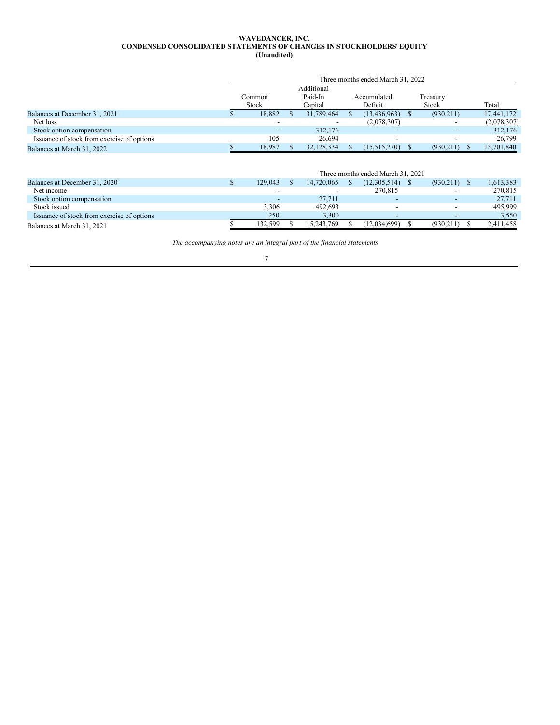### **WAVEDANCER, INC. CONDENSED CONSOLIDATED STATEMENTS OF CHANGES IN STOCKHOLDERS**' **EQUITY (Unaudited)**

|                                            | Three months ended March 31, 2022 |                          |  |            |  |                          |  |            |             |
|--------------------------------------------|-----------------------------------|--------------------------|--|------------|--|--------------------------|--|------------|-------------|
|                                            |                                   |                          |  | Additional |  |                          |  |            |             |
|                                            |                                   | Common                   |  | Paid-In    |  | Accumulated              |  | Treasury   |             |
|                                            |                                   | Stock                    |  | Capital    |  | Deficit                  |  | Stock      | Total       |
| Balances at December 31, 2021              |                                   | 18.882                   |  | 31,789,464 |  | (13.436.963)             |  | (930,211)  | 17.441.172  |
| Net loss                                   |                                   |                          |  |            |  | (2,078,307)              |  |            | (2,078,307) |
| Stock option compensation                  |                                   | $\overline{\phantom{a}}$ |  | 312,176    |  |                          |  |            | 312.176     |
| Issuance of stock from exercise of options |                                   | 105                      |  | 26.694     |  | $\overline{\phantom{a}}$ |  |            | 26,799      |
| Balances at March 31, 2022                 |                                   | 18.987                   |  | 32.128.334 |  | (15.515.270)             |  | (930, 211) | 15.701.840  |

|                                            |         |            | Three months ended March 31, 2021 |           |           |
|--------------------------------------------|---------|------------|-----------------------------------|-----------|-----------|
| Balances at December 31, 2020              | 129.043 | 14,720,065 | (12.305.514)                      | (930.211) | 1,613,383 |
| Net income                                 |         |            | 270,815                           |           | 270,815   |
| Stock option compensation                  | -       | 27.711     |                                   |           | 27.711    |
| Stock issued                               | 3,306   | 492.693    |                                   |           | 495.999   |
| Issuance of stock from exercise of options | 250     | 3.300      |                                   |           | 3,550     |
| Balances at March 31, 2021                 | 132.599 | 15.243.769 | (12,034,699)                      | (930.211) | 2,411,458 |

*The accompanying notes are an integral part of the financial statements*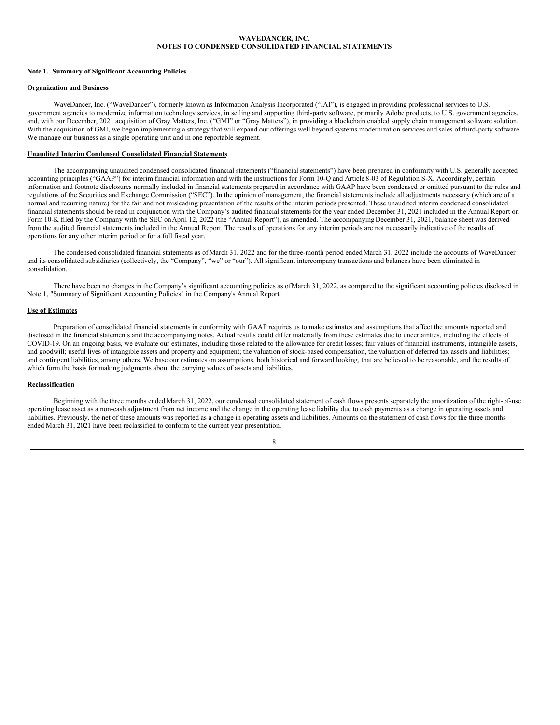## **WAVEDANCER, INC. NOTES TO CONDENSED CONSOLIDATED FINANCIAL STATEMENTS**

#### **Note 1. Summary of Significant Accounting Policies**

#### **Organization and Business**

WaveDancer, Inc. ("WaveDancer"), formerly known as Information Analysis Incorporated ("IAI"), is engaged in providing professional services to U.S. government agencies to modernize information technology services, in selling and supporting third-party software, primarily Adobe products, to U.S. government agencies, and, with our December, 2021 acquisition of Gray Matters, Inc. ("GMI" or "Gray Matters"), in providing a blockchain enabled supply chain management software solution. With the acquisition of GMI, we began implementing a strategy that will expand our offerings well beyond systems modernization services and sales of third-party software. We manage our business as a single operating unit and in one reportable segment.

#### **Unaudited Interim Condensed Consolidated Financial Statements**

The accompanying unaudited condensed consolidated financial statements ("financial statements") have been prepared in conformity with U.S. generally accepted accounting principles ("GAAP") for interim financial information and with the instructions for Form 10-Q and Article 8-03 of Regulation S-X. Accordingly, certain information and footnote disclosures normally included in financial statements prepared in accordance with GAAP have been condensed or omitted pursuant to the rules and regulations of the Securities and Exchange Commission ("SEC"). In the opinion of management, the financial statements include all adjustments necessary (which are of a normal and recurring nature) for the fair and not misleading presentation of the results of the interim periods presented. These unaudited interim condensed consolidated financial statements should be read in conjunction with the Company's audited financial statements for the year ended December 31, 2021 included in the Annual Report on Form 10-K filed by the Company with the SEC on April 12, 2022 (the "Annual Report"), as amended. The accompanying December 31, 2021, balance sheet was derived from the audited financial statements included in the Annual Report. The results of operations for any interim periods are not necessarily indicative of the results of operations for any other interim period or for a full fiscal year.

The condensed consolidated financial statements as ofMarch 31, 2022 and for the three-month period endedMarch 31, 2022 include the accounts of WaveDancer and its consolidated subsidiaries (collectively, the "Company", "we" or "our"). All significant intercompany transactions and balances have been eliminated in consolidation.

There have been no changes in the Company's significant accounting policies as ofMarch 31, 2022, as compared to the significant accounting policies disclosed in Note 1, "Summary of Significant Accounting Policies" in the Company's Annual Report.

#### **Use of Estimates**

Preparation of consolidated financial statements in conformity with GAAP requires us to make estimates and assumptions that affect the amounts reported and disclosed in the financial statements and the accompanying notes. Actual results could differ materially from these estimates due to uncertainties, including the effects of COVID-19. On an ongoing basis, we evaluate our estimates, including those related to the allowance for credit losses; fair values of financial instruments, intangible assets, and goodwill; useful lives of intangible assets and property and equipment; the valuation of stock-based compensation, the valuation of deferred tax assets and liabilities; and contingent liabilities, among others. We base our estimates on assumptions, both historical and forward looking, that are believed to be reasonable, and the results of which form the basis for making judgments about the carrying values of assets and liabilities.

#### **Reclassification**

Beginning with the three months ended March 31, 2022, our condensed consolidated statement of cash flows presents separately the amortization of the right-of-use operating lease asset as a non-cash adjustment from net income and the change in the operating lease liability due to cash payments as a change in operating assets and liabilities. Previously, the net of these amounts was reported as a change in operating assets and liabilities. Amounts on the statement of cash flows for the three months ended March 31, 2021 have been reclassified to conform to the current year presentation.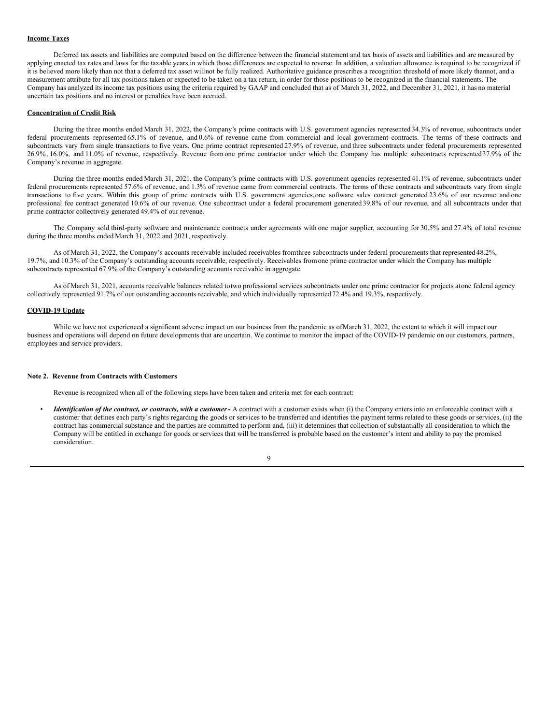## **Income Taxes**

Deferred tax assets and liabilities are computed based on the difference between the financial statement and tax basis of assets and liabilities and are measured by applying enacted tax rates and laws for the taxable years in which those differences are expected to reverse. In addition, a valuation allowance is required to be recognized if it is believed more likely than not that a deferred tax asset willnot be fully realized. Authoritative guidance prescribes a recognition threshold of more likely thannot, and a measurement attribute for all tax positions taken or expected to be taken on a tax return, in order for those positions to be recognized in the financial statements. The Company has analyzed its income tax positions using the criteria required by GAAP and concluded that as of March 31, 2022, and December 31, 2021, it has no material uncertain tax positions and no interest or penalties have been accrued.

#### **Concentration of Credit Risk**

During the three months ended March 31, 2022, the Company's prime contracts with U.S. government agencies represented 34.3% of revenue, subcontracts under federal procurements represented 65.1% of revenue, and 0.6% of revenue came from commercial and local government contracts. The terms of these contracts and subcontracts vary from single transactions to five years. One prime contract represented 27.9% of revenue, and three subcontracts under federal procurements represented 26.9%, 16.0%, and 11.0% of revenue, respectively. Revenue from one prime contractor under which the Company has multiple subcontracts represented37.9% of the Company's revenue in aggregate.

During the three months ended March 31, 2021, the Company's prime contracts with U.S. government agencies represented 41.1% of revenue, subcontracts under federal procurements represented 57.6% of revenue, and 1.3% of revenue came from commercial contracts. The terms of these contracts and subcontracts vary from single transactions to five years. Within this group of prime contracts with U.S. government agencies,one software sales contract generated 23.6% of our revenue and one professional fee contract generated 10.6% of our revenue. One subcontract under a federal procurement generated 39.8% of our revenue, and all subcontracts under that prime contractor collectively generated 49.4% of our revenue.

The Company sold third-party software and maintenance contracts under agreements with one major supplier, accounting for 30.5% and 27.4% of total revenue during the three months ended March 31, 2022 and 2021, respectively.

As of March 31, 2022, the Company's accounts receivable included receivables fromthree subcontracts under federal procurements that represented 48.2%, 19.7%, and 10.3% of the Company's outstanding accounts receivable, respectively. Receivables fromone prime contractor under which the Company has multiple subcontracts represented 67.9% of the Company's outstanding accounts receivable in aggregate.

As of March 31, 2021, accounts receivable balances related totwo professional services subcontracts under one prime contractor for projects atone federal agency collectively represented 91.7% of our outstanding accounts receivable, and which individually represented 72.4% and 19.3%, respectively.

#### **COVID-19 Update**

While we have not experienced a significant adverse impact on our business from the pandemic as ofMarch 31, 2022, the extent to which it will impact our business and operations will depend on future developments that are uncertain. We continue to monitor the impact of the COVID-19 pandemic on our customers, partners, employees and service providers.

#### **Note 2. Revenue from Contracts with Customers**

Revenue is recognized when all of the following steps have been taken and criteria met for each contract:

Identification of the contract, or contracts, with a customer-A contract with a customer exists when (i) the Company enters into an enforceable contract with a customer that defines each party's rights regarding the goods or services to be transferred and identifies the payment terms related to these goods or services, (ii) the contract has commercial substance and the parties are committed to perform and, (iii) it determines that collection of substantially all consideration to which the Company will be entitled in exchange for goods or services that will be transferred is probable based on the customer's intent and ability to pay the promised consideration.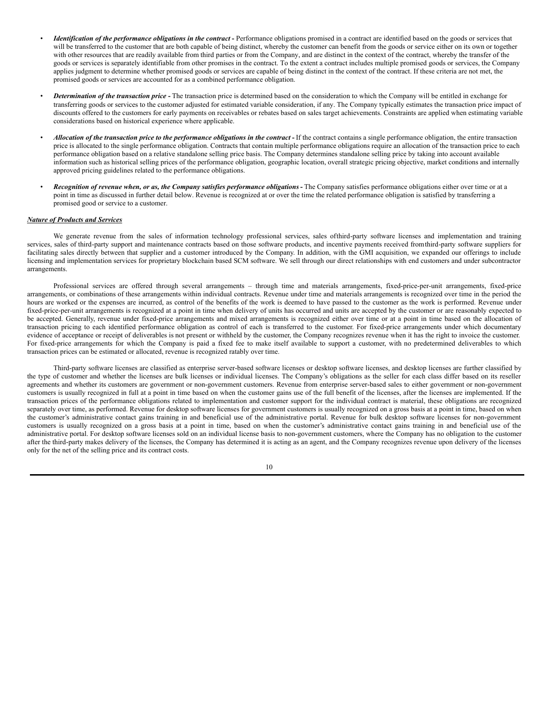- Identification of the performance obligations in the contract Performance obligations promised in a contract are identified based on the goods or services that will be transferred to the customer that are both capable of being distinct, whereby the customer can benefit from the goods or service either on its own or together with other resources that are readily available from third parties or from the Company, and are distinct in the context of the contract, whereby the transfer of the goods or services is separately identifiable from other promises in the contract. To the extent a contract includes multiple promised goods or services, the Company applies judgment to determine whether promised goods or services are capable of being distinct in the context of the contract. If these criteria are not met, the promised goods or services are accounted for as a combined performance obligation.
- *Determination of the transaction price* **-** The transaction price is determined based on the consideration to which the Company will be entitled in exchange for transferring goods or services to the customer adjusted for estimated variable consideration, if any. The Company typically estimates the transaction price impact of discounts offered to the customers for early payments on receivables or rebates based on sales target achievements. Constraints are applied when estimating variable considerations based on historical experience where applicable.
- Allocation of the transaction price to the performance obligations in the contract If the contract contains a single performance obligation, the entire transaction price is allocated to the single performance obligation. Contracts that contain multiple performance obligations require an allocation of the transaction price to each performance obligation based on a relative standalone selling price basis. The Company determines standalone selling price by taking into account available information such as historical selling prices of the performance obligation, geographic location, overall strategic pricing objective, market conditions and internally approved pricing guidelines related to the performance obligations.
- Recognition of revenue when, or as, the Company satisfies performance obligations The Company satisfies performance obligations either over time or at a point in time as discussed in further detail below. Revenue is recognized at or over the time the related performance obligation is satisfied by transferring a promised good or service to a customer.

## *Nature of Products and Services*

We generate revenue from the sales of information technology professional services, sales ofthird-party software licenses and implementation and training services, sales of third-party support and maintenance contracts based on those software products, and incentive payments received fromthird-party software suppliers for facilitating sales directly between that supplier and a customer introduced by the Company. In addition, with the GMI acquisition, we expanded our offerings to include licensing and implementation services for proprietary blockchain based SCM software. We sell through our direct relationships with end customers and under subcontractor arrangements.

Professional services are offered through several arrangements – through time and materials arrangements, fixed-price-per-unit arrangements, fixed-price arrangements, or combinations of these arrangements within individual contracts. Revenue under time and materials arrangements is recognized over time in the period the hours are worked or the expenses are incurred, as control of the benefits of the work is deemed to have passed to the customer as the work is performed. Revenue under fixed-price-per-unit arrangements is recognized at a point in time when delivery of units has occurred and units are accepted by the customer or are reasonably expected to be accepted. Generally, revenue under fixed-price arrangements and mixed arrangements is recognized either over time or at a point in time based on the allocation of transaction pricing to each identified performance obligation as control of each is transferred to the customer. For fixed-price arrangements under which documentary evidence of acceptance or receipt of deliverables is not present or withheld by the customer, the Company recognizes revenue when it has the right to invoice the customer. For fixed-price arrangements for which the Company is paid a fixed fee to make itself available to support a customer, with no predetermined deliverables to which transaction prices can be estimated or allocated, revenue is recognized ratably over time.

Third-party software licenses are classified as enterprise server-based software licenses or desktop software licenses, and desktop licenses are further classified by the type of customer and whether the licenses are bulk licenses or individual licenses. The Company's obligations as the seller for each class differ based on its reseller agreements and whether its customers are government or non-government customers. Revenue from enterprise server-based sales to either government or non-government customers is usually recognized in full at a point in time based on when the customer gains use of the full benefit of the licenses, after the licenses are implemented. If the transaction prices of the performance obligations related to implementation and customer support for the individual contract is material, these obligations are recognized separately over time, as performed. Revenue for desktop software licenses for government customers is usually recognized on a gross basis at a point in time, based on when the customer's administrative contact gains training in and beneficial use of the administrative portal. Revenue for bulk desktop software licenses for non-government customers is usually recognized on a gross basis at a point in time, based on when the customer's administrative contact gains training in and beneficial use of the administrative portal. For desktop software licenses sold on an individual license basis to non-government customers, where the Company has no obligation to the customer after the third-party makes delivery of the licenses, the Company has determined it is acting as an agent, and the Company recognizes revenue upon delivery of the licenses only for the net of the selling price and its contract costs.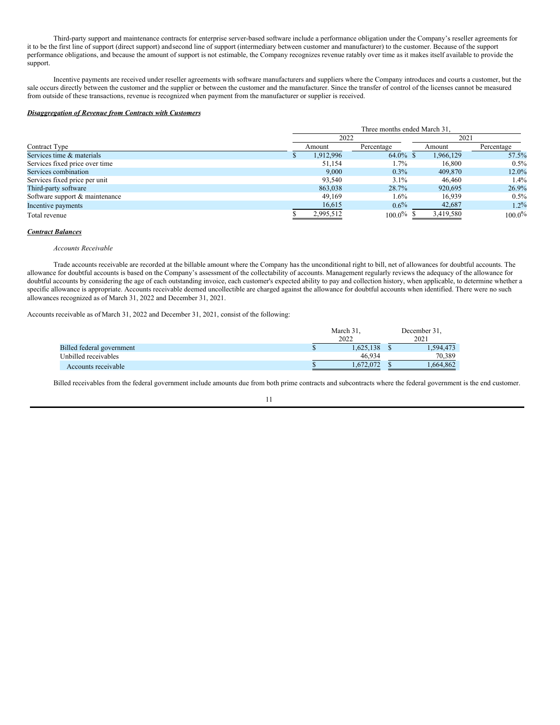Third-party support and maintenance contracts for enterprise server-based software include a performance obligation under the Company's reseller agreements for it to be the first line of support (direct support) andsecond line of support (intermediary between customer and manufacturer) to the customer. Because of the support performance obligations, and because the amount of support is not estimable, the Company recognizes revenue ratably over time as it makes itself available to provide the support.

Incentive payments are received under reseller agreements with software manufacturers and suppliers where the Company introduces and courts a customer, but the sale occurs directly between the customer and the supplier or between the customer and the manufacturer. Since the transfer of control of the licenses cannot be measured from outside of these transactions, revenue is recognized when payment from the manufacturer or supplier is received.

#### *Disaggregation of Revenue from Contracts with Customers*

|                                |  | 2022      |             |  | 2021      |            |
|--------------------------------|--|-----------|-------------|--|-----------|------------|
| Contract Type                  |  | Amount    | Percentage  |  | Amount    | Percentage |
| Services time & materials      |  | 1,912,996 | $64.0\%$ \$ |  | 1,966,129 | 57.5%      |
| Services fixed price over time |  | 51.154    | $1.7\%$     |  | 16.800    | $0.5\%$    |
| Services combination           |  | 9.000     | $0.3\%$     |  | 409,870   | $12.0\%$   |
| Services fixed price per unit  |  | 93.540    | $3.1\%$     |  | 46,460    | $1.4\%$    |
| Third-party software           |  | 863,038   | 28.7%       |  | 920,695   | 26.9%      |
| Software support & maintenance |  | 49.169    | 1.6%        |  | 16.939    | $0.5\%$    |
| Incentive payments             |  | 16,615    | $0.6\%$     |  | 42,687    | $1.2\%$    |
| Total revenue                  |  | 2,995,512 | $100.0\%$   |  | 3,419,580 | $100.0\%$  |

## *Contract Balances*

## *Accounts Receivable*

Trade accounts receivable are recorded at the billable amount where the Company has the unconditional right to bill, net of allowances for doubtful accounts. The allowance for doubtful accounts is based on the Company's assessment of the collectability of accounts. Management regularly reviews the adequacy of the allowance for doubtful accounts by considering the age of each outstanding invoice, each customer's expected ability to pay and collection history, when applicable, to determine whether a specific allowance is appropriate. Accounts receivable deemed uncollectible are charged against the allowance for doubtful accounts when identified. There were no such allowances recognized as of March 31, 2022 and December 31, 2021.

Accounts receivable as of March 31, 2022 and December 31, 2021, consist of the following:

|                           | March 31,<br>2022 | December 31,<br>2021 |  |  |
|---------------------------|-------------------|----------------------|--|--|
| Billed federal government | 1.625.138         | 1.594.473            |  |  |
| Unbilled receivables      | 46.934            | 70.389               |  |  |
| Accounts receivable       | 1.672.072         | .664.862             |  |  |

Billed receivables from the federal government include amounts due from both prime contracts and subcontracts where the federal government is the end customer.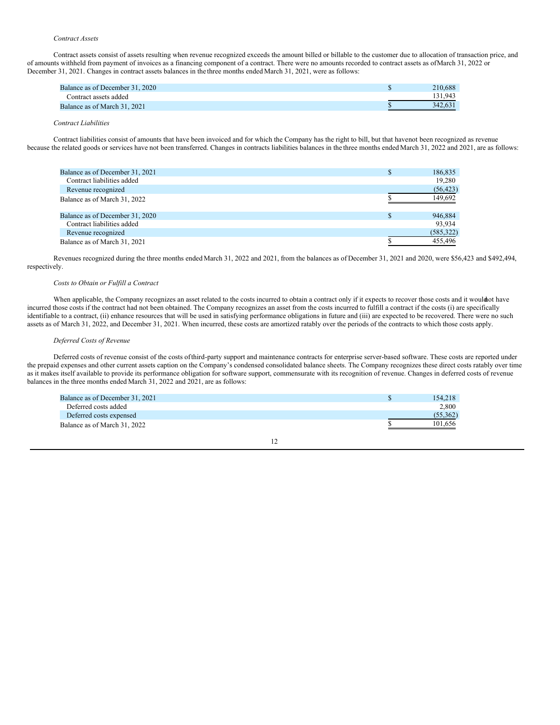## *Contract Assets*

Contract assets consist of assets resulting when revenue recognized exceeds the amount billed or billable to the customer due to allocation of transaction price, and of amounts withheld from payment of invoices as a financing component of a contract. There were no amounts recorded to contract assets as ofMarch 31, 2022 or December 31, 2021. Changes in contract assets balances in the three months ended March 31, 2021, were as follows:

| Balance as of December 31, 2020 | 210.688 |
|---------------------------------|---------|
| Contract assets added           | 131.943 |
| Balance as of March 31, 2021    | 342.631 |

*Contract Liabilities*

Contract liabilities consist of amounts that have been invoiced and for which the Company has the right to bill, but that havenot been recognized as revenue because the related goods or services have not been transferred. Changes in contracts liabilities balances in the three months ended March 31, 2022 and 2021, are as follows:

| Balance as of December 31, 2021 | 186,835    |
|---------------------------------|------------|
| Contract liabilities added      | 19,280     |
| Revenue recognized              | (56, 423)  |
| Balance as of March 31, 2022    | 149,692    |
|                                 |            |
| Balance as of December 31, 2020 | 946,884    |
| Contract liabilities added      | 93.934     |
| Revenue recognized              | (585, 322) |
| Balance as of March 31, 2021    | 455,496    |
|                                 |            |

Revenues recognized during the three months ended March 31, 2022 and 2021, from the balances as of December 31, 2021 and 2020, were \$56,423 and \$492,494, respectively.

#### *Costs to Obtain or Fulfill a Contract*

When applicable, the Company recognizes an asset related to the costs incurred to obtain a contract only if it expects to recover those costs and it would ot have incurred those costs if the contract had not been obtained. The Company recognizes an asset from the costs incurred to fulfill a contract if the costs (i) are specifically identifiable to a contract, (ii) enhance resources that will be used in satisfying performance obligations in future and (iii) are expected to be recovered. There were no such assets as of March 31, 2022, and December 31, 2021. When incurred, these costs are amortized ratably over the periods of the contracts to which those costs apply.

## *Deferred Costs of Revenue*

Deferred costs of revenue consist of the costs ofthird-party support and maintenance contracts for enterprise server-based software. These costs are reported under the prepaid expenses and other current assets caption on the Company's condensed consolidated balance sheets. The Company recognizes these direct costs ratably over time as it makes itself available to provide its performance obligation for software support, commensurate with its recognition of revenue. Changes in deferred costs of revenue balances in the three months ended March 31, 2022 and 2021, are as follows:

| Balance as of December 31, 2021 | 154.218  |
|---------------------------------|----------|
| Deferred costs added            | 2.800    |
| Deferred costs expensed         | (55.362) |
| Balance as of March 31, 2022    | 101.656  |
|                                 |          |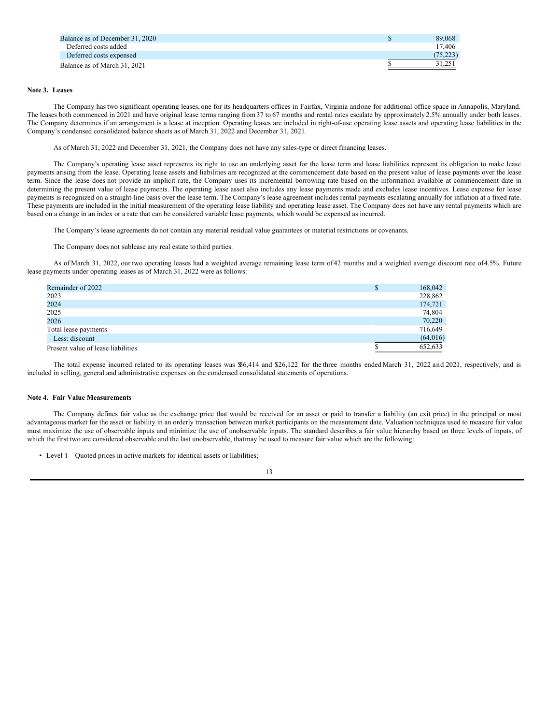| Balance as of December 31, 2020 | 89,068   |
|---------------------------------|----------|
| Deferred costs added            | 17.406   |
| Deferred costs expensed         | (75.223) |
| Balance as of March 31, 2021    | 31.25    |

## **Note 3. Leases**

The Company hastwo significant operating leases, one for its headquarters offices in Fairfax, Virginia andone for additional office space in Annapolis, Maryland. The leases both commenced in 2021 and have original lease terms ranging from 37 to 67 months and rental rates escalate by approximately 2.5% annually under both leases. The Company determines if an arrangement is a lease at inception. Operating leases are included in right-of-use operating lease assets and operating lease liabilities in the Company's condensed consolidated balance sheets as of March 31, 2022 and December 31, 2021.

As of March 31, 2022 and December 31, 2021, the Company does not have any sales-type or direct financing leases.

The Company's operating lease asset represents its right to use an underlying asset for the lease term and lease liabilities represent its obligation to make lease payments arising from the lease. Operating lease assets and liabilities are recognized at the commencement date based on the present value of lease payments over the lease term. Since the lease does not provide an implicit rate, the Company uses its incremental borrowing rate based on the information available at commencement date in determining the present value of lease payments. The operating lease asset also includes any lease payments made and excludes lease incentives. Lease expense for lease payments is recognized on a straight-line basis over the lease term. The Company's lease agreement includes rental payments escalating annually for inflation at a fixed rate. These payments are included in the initial measurement of the operating lease liability and operating lease asset. The Company does not have any rental payments which are based on a change in an index or a rate that can be considered variable lease payments, which would be expensed as incurred.

The Company's lease agreements do not contain any material residual value guarantees or material restrictions or covenants.

The Company does not sublease any real estate to third parties.

As of March 31, 2022, our two operating leases had a weighted average remaining lease term of 42 months and a weighted average discount rate of4.5%. Future lease payments under operating leases as of March 31, 2022 were as follows:

| Remainder of 2022                  | S | 168,042  |
|------------------------------------|---|----------|
| 2023                               |   | 228,862  |
| 2024                               |   | 174,721  |
| 2025                               |   | 74,804   |
| 2026                               |   | 70,220   |
| Total lease payments               |   | 716,649  |
| Less: discount                     |   | (64,016) |
| Present value of lease liabilities |   | 652,633  |

The total expense incurred related to its operating leases was \$5,414 and \$26,122 for the three months ended March 31, 2022 and 2021, respectively, and is included in selling, general and administrative expenses on the condensed consolidated statements of operations.

#### **Note 4. Fair Value Measurements**

The Company defines fair value as the exchange price that would be received for an asset or paid to transfer a liability (an exit price) in the principal or most advantageous market for the asset or liability in an orderly transaction between market participants on the measurement date. Valuation techniques used to measure fair value must maximize the use of observable inputs and minimize the use of unobservable inputs. The standard describes a fair value hierarchy based on three levels of inputs, of which the first two are considered observable and the last unobservable, thatmay be used to measure fair value which are the following:

- Level 1—Quoted prices in active markets for identical assets or liabilities;
- 13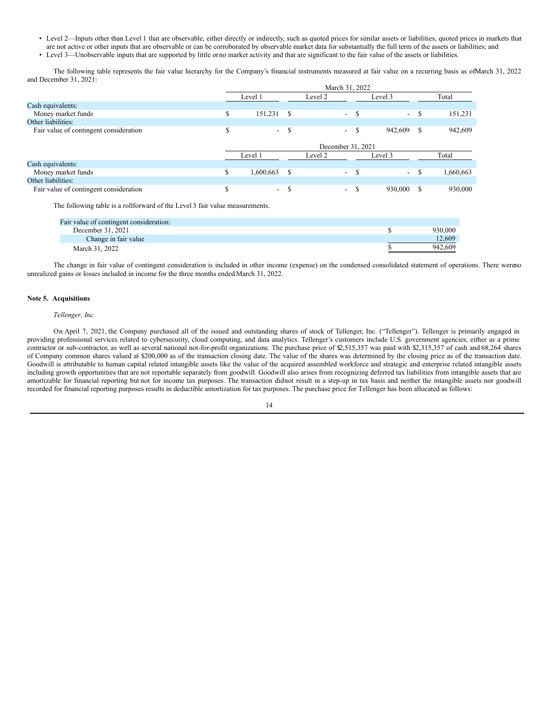- Level 2—Inputs other than Level 1 that are observable, either directly or indirectly, such as quoted prices for similar assets or liabilities, quoted prices in markets that are not active or other inputs that are observable or can be corroborated by observable market data for substantially the full term of the assets or liabilities; and
- Level 3—Unobservable inputs that are supported by little orno market activity and that are significant to the fair value of the assets or liabilities.

The following table represents the fair value hierarchy for the Company's financial instruments measured at fair value on a recurring basis as ofMarch 31, 2022 and December 31, 2021:

|                                        |   | March 31, 2022           |              |                          |   |            |    |           |
|----------------------------------------|---|--------------------------|--------------|--------------------------|---|------------|----|-----------|
|                                        |   | Level 1                  |              | Level 2                  |   | Level 3    |    | Total     |
| Cash equivalents:                      |   |                          |              |                          |   |            |    |           |
| Money market funds                     | S | 151,231                  | <sup>S</sup> | $\sim$                   | S | $\sim 100$ | S  | 151,231   |
| Other liabilities:                     |   |                          |              |                          |   |            |    |           |
| Fair value of contingent consideration | S | $\sim$                   | S            | $\overline{\phantom{0}}$ | S | 942,609    | -S | 942,609   |
|                                        |   |                          |              |                          |   |            |    |           |
|                                        |   |                          |              |                          |   |            |    |           |
|                                        |   |                          |              | December 31, 2021        |   |            |    |           |
|                                        |   | Level 1                  |              | Level 2                  |   | Level 3    |    | Total     |
| Cash equivalents:                      |   |                          |              |                          |   |            |    |           |
| Money market funds                     | S | 1,600,663                | <sup>S</sup> | $\sim$                   | S | $\sim$     | -S | 1,660,663 |
| Other liabilities:                     |   |                          |              |                          |   |            |    |           |
| Fair value of contingent consideration | ¢ | $\overline{\phantom{0}}$ | S            | $\overline{\phantom{a}}$ | S | 930,000    | -S | 930,000   |

The following table is a rollforward of the Level 3 fair value measurements.

| Fair value of contingent consideration: |         |
|-----------------------------------------|---------|
| December 31, 2021                       | 930,000 |
| Change in fair value                    | 12.609  |
| March 31, 2022                          | 942.609 |

The change in fair value of contingent consideration is included in other income (expense) on the condensed consolidated statement of operations. There wereno unrealized gains or losses included in income for the three months ended March 31, 2022.

#### **Note 5. Acquisitions**

### *Tellenger, Inc.*

On April 7, 2021, the Company purchased all of the issued and outstanding shares of stock of Tellenger, Inc. ("Tellenger"). Tellenger is primarily engaged in providing professional services related to cybersecurity, cloud computing, and data analytics. Tellenger's customers include U.S. government agencies, either as a prime contractor or sub-contractor, as well as several national not-for-profit organizations. The purchase price of \$2,515,357 was paid with \$2,315,357 of cash and 68,264 shares of Company common shares valued at \$200,000 as of the transaction closing date. The value of the shares was determined by the closing price as of the transaction date. Goodwill is attributable to human capital related intangible assets like the value of the acquired assembled workforce and strategic and enterprise related intangible assets including growth opportunities that are not reportable separately from goodwill. Goodwill also arises from recognizing deferred tax liabilities from intangible assets that are amortizable for financial reporting but not for income tax purposes. The transaction didnot result in a step-up in tax basis and neither the intangible assets nor goodwill recorded for financial reporting purposes results in deductible amortization for tax purposes. The purchase price for Tellenger has been allocated as follows: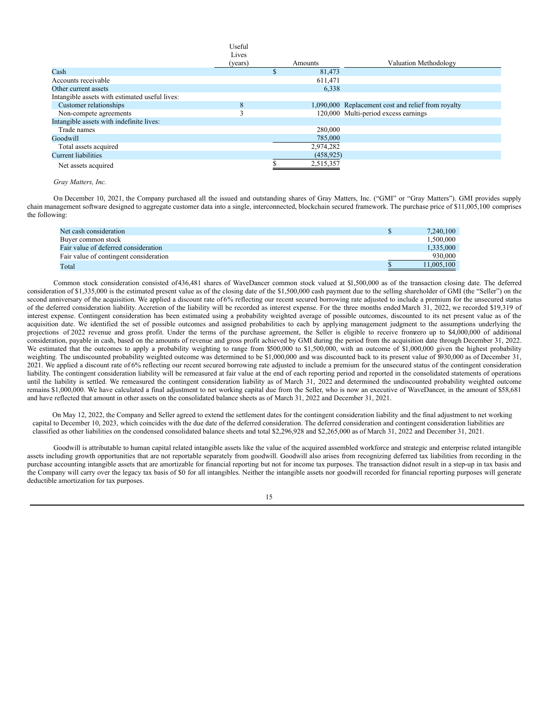|                                                | Useful  |            |                                                    |
|------------------------------------------------|---------|------------|----------------------------------------------------|
|                                                | Lives   |            |                                                    |
|                                                | (years) | Amounts    | Valuation Methodology                              |
| Cash                                           |         | 81,473     |                                                    |
| Accounts receivable                            |         | 611,471    |                                                    |
| Other current assets                           |         | 6,338      |                                                    |
| Intangible assets with estimated useful lives: |         |            |                                                    |
| Customer relationships                         | 8       |            | 1,090,000 Replacement cost and relief from royalty |
| Non-compete agreements                         | 3       |            | 120,000 Multi-period excess earnings               |
| Intangible assets with indefinite lives:       |         |            |                                                    |
| Trade names                                    |         | 280,000    |                                                    |
| Goodwill                                       |         | 785,000    |                                                    |
| Total assets acquired                          |         | 2,974,282  |                                                    |
| <b>Current liabilities</b>                     |         | (458, 925) |                                                    |
| Net assets acquired                            |         | 2,515,357  |                                                    |

*Gray Matters, Inc.*

On December 10, 2021, the Company purchased all the issued and outstanding shares of Gray Matters, Inc. ("GMI" or "Gray Matters"). GMI provides supply chain management software designed to aggregate customer data into a single, interconnected, blockchain secured framework. The purchase price of \$11,005,100 comprises the following:

| Net cash consideration                 | 7.240.100  |
|----------------------------------------|------------|
| Buyer common stock                     | 1.500.000  |
| Fair value of deferred consideration   | 1.335,000  |
| Fair value of contingent consideration | 930,000    |
| Total                                  | 11.005.100 |

Common stock consideration consisted of436,481 shares of WaveDancer common stock valued at \$1,500,000 as of the transaction closing date. The deferred consideration of \$1,335,000 is the estimated present value as of the closing date of the \$1,500,000 cash payment due to the selling shareholder of GMI (the "Seller") on the second anniversary of the acquisition. We applied a discount rate of 6% reflecting our recent secured borrowing rate adjusted to include a premium for the unsecured status of the deferred consideration liability. Accretion of the liability will be recorded as interest expense. For the three months ended March 31, 2022, we recorded \$19,319 of interest expense. Contingent consideration has been estimated using a probability weighted average of possible outcomes, discounted to its net present value as of the acquisition date. We identified the set of possible outcomes and assigned probabilities to each by applying management judgment to the assumptions underlying the projections of 2022 revenue and gross profit. Under the terms of the purchase agreement, the Seller is eligible to receive fromzero up to \$4,000,000 of additional consideration, payable in cash, based on the amounts of revenue and gross profit achieved by GMI during the period from the acquisition date through December 31, 2022. We estimated that the outcomes to apply a probability weighting to range from \$500,000 to \$1,500,000, with an outcome of \$1,000,000 given the highest probability weighting. The undiscounted probability weighted outcome was determined to be \$1,000,000 and was discounted back to its present value of \$930,000 as of December 31, 2021. We applied a discount rate of 6% reflecting our recent secured borrowing rate adjusted to include a premium for the unsecured status of the contingent consideration liability. The contingent consideration liability will be remeasured at fair value at the end of each reporting period and reported in the consolidated statements of operations until the liability is settled. We remeasured the contingent consideration liability as of March 31, 2022 and determined the undiscounted probability weighted outcome remains \$1,000,000. We have calculated a final adjustment to net working capital due from the Seller, who is now an executive of WaveDancer, in the amount of \$58,681 and have reflected that amount in other assets on the consolidated balance sheets as of March 31, 2022 and December 31, 2021.

On May 12, 2022, the Company and Seller agreed to extend the settlement dates for the contingent consideration liability and the final adjustment to net working capital to December 10, 2023, which coincides with the due date of the deferred consideration. The deferred consideration and contingent consideration liabilities are classified as other liabilities on the condensed consolidated balance sheets and total \$2,296,928 and \$2,265,000 as of March 31, 2022 and December 31, 2021.

Goodwill is attributable to human capital related intangible assets like the value of the acquired assembled workforce and strategic and enterprise related intangible assets including growth opportunities that are not reportable separately from goodwill. Goodwill also arises from recognizing deferred tax liabilities from recording in the purchase accounting intangible assets that are amortizable for financial reporting but not for income tax purposes. The transaction didnot result in a step-up in tax basis and the Company will carry over the legacy tax basis of \$0 for all intangibles. Neither the intangible assets nor goodwill recorded for financial reporting purposes will generate deductible amortization for tax purposes.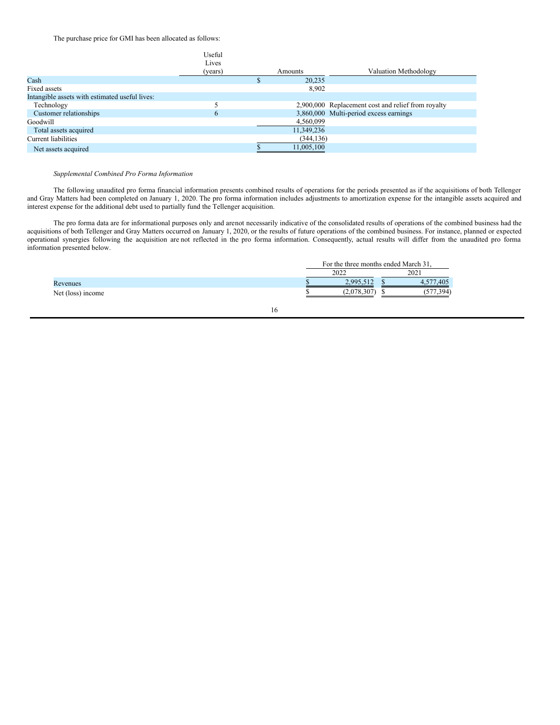The purchase price for GMI has been allocated as follows:

|                                                | Useful<br>Lives |            |                                                    |
|------------------------------------------------|-----------------|------------|----------------------------------------------------|
|                                                | (years)         | Amounts    | Valuation Methodology                              |
| Cash                                           |                 | 20,235     |                                                    |
| Fixed assets                                   |                 | 8,902      |                                                    |
| Intangible assets with estimated useful lives: |                 |            |                                                    |
| Technology                                     |                 |            | 2,900,000 Replacement cost and relief from royalty |
| Customer relationships                         | $\mathbf{b}$    |            | 3,860,000 Multi-period excess earnings             |
| Goodwill                                       |                 | 4,560,099  |                                                    |
| Total assets acquired                          |                 | 11,349,236 |                                                    |
| Current liabilities                            |                 | (344, 136) |                                                    |
| Net assets acquired                            |                 | 11,005,100 |                                                    |

#### *Supplemental Combined Pro Forma Information*

The following unaudited pro forma financial information presents combined results of operations for the periods presented as if the acquisitions of both Tellenger and Gray Matters had been completed on January 1, 2020. The pro forma information includes adjustments to amortization expense for the intangible assets acquired and interest expense for the additional debt used to partially fund the Tellenger acquisition.

The pro forma data are for informational purposes only and arenot necessarily indicative of the consolidated results of operations of the combined business had the acquisitions of both Tellenger and Gray Matters occurred on January 1, 2020, or the results of future operations of the combined business. For instance, planned or expected or expected operational synergies following the acquisition are not reflected in the pro forma information. Consequently, actual results will differ from the unaudited pro forma information presented below.

|                   |      | For the three months ended March 31, |       |  |  |  |
|-------------------|------|--------------------------------------|-------|--|--|--|
|                   | 2022 |                                      |       |  |  |  |
| Revenues          |      | 2.995.512                            | 7.405 |  |  |  |
| Net (loss) income |      | 8.307                                |       |  |  |  |
|                   |      |                                      |       |  |  |  |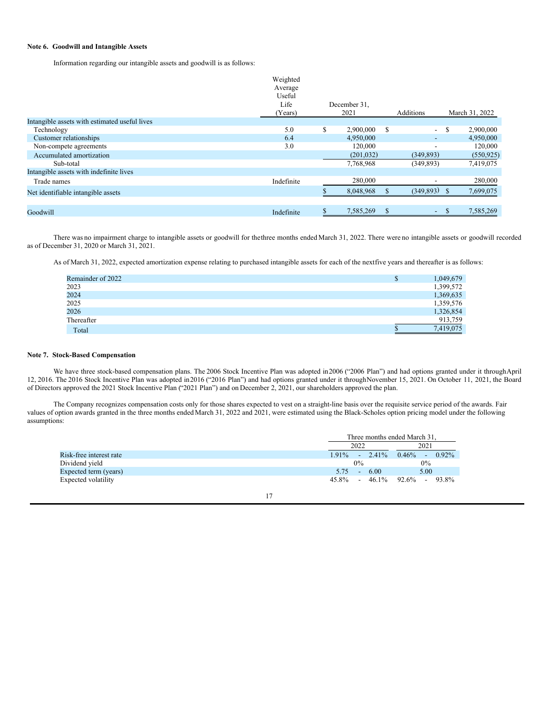## **Note 6. Goodwill and Intangible Assets**

Information regarding our intangible assets and goodwill is as follows:

| Weighted   |                 |              |                          |        |                |
|------------|-----------------|--------------|--------------------------|--------|----------------|
| Average    |                 |              |                          |        |                |
| Useful     |                 |              |                          |        |                |
| Life       |                 |              |                          |        |                |
| (Years)    | 2021            |              | Additions                |        | March 31, 2022 |
|            |                 |              |                          |        |                |
| 5.0        | \$<br>2,900,000 | S            |                          | S      | 2,900,000      |
| 6.4        | 4,950,000       |              | $\overline{\phantom{a}}$ |        | 4,950,000      |
| 3.0        | 120,000         |              | $\overline{\phantom{a}}$ |        | 120,000        |
|            | (201, 032)      |              | (349, 893)               |        | (550, 925)     |
|            | 7,768,968       |              | (349, 893)               |        | 7,419,075      |
|            |                 |              |                          |        |                |
| Indefinite | 280,000         |              | $\blacksquare$           |        | 280,000        |
|            | 8,048,968       |              |                          |        | 7,699,075      |
|            |                 |              |                          |        |                |
| Indefinite | 7,585,269       |              | $\overline{\phantom{a}}$ | -S     | 7,585,269      |
|            |                 | December 31. |                          | $\sim$ | $(349,893)$ \$ |

There was no impairment charge to intangible assets or goodwill for thethree months ended March 31, 2022. There were no intangible assets or goodwill recorded as of December 31, 2020 or March 31, 2021.

As of March 31, 2022, expected amortization expense relating to purchased intangible assets for each of the nextfive years and thereafter is as follows:

| Remainder of 2022 | P | 1,049,679 |
|-------------------|---|-----------|
| 2023              |   | 1,399,572 |
| 2024              |   | 1,369,635 |
| 2025              |   | 1,359,576 |
| 2026              |   | 1,326,854 |
| Thereafter        |   | 913,759   |
| Total             |   | 7.419.075 |

#### **Note 7. Stock-Based Compensation**

We have three stock-based compensation plans. The 2006 Stock Incentive Plan was adopted in2006 ("2006 Plan") and had options granted under it throughApril 12, 2016. The 2016 Stock Incentive Plan was adopted in2016 ("2016 Plan") and had options granted under it throughNovember 15, 2021. On October 11, 2021, the Board of Directors approved the 2021 Stock Incentive Plan ("2021 Plan") and on December 2, 2021, our shareholders approved the plan.

The Company recognizes compensation costs only for those shares expected to vest on a straight-line basis over the requisite service period of the awards. Fair values of option awards granted in the three months ended March 31, 2022 and 2021, were estimated using the Black-Scholes option pricing model under the following assumptions:

|                         |      | Three months ended March 31. |      |                             |                   |
|-------------------------|------|------------------------------|------|-----------------------------|-------------------|
|                         |      | 2022                         |      | 2021                        |                   |
| Risk-free interest rate |      |                              |      | $1.91\%$ - 2.41\% 0.46\%    | $0.92\%$<br>N A N |
| Dividend yield          |      | $0\%$                        |      |                             | $0\%$             |
| Expected term (years)   | 5.75 | v.                           | 6.00 |                             | 5.00              |
| Expected volatility     |      |                              |      | $45.8\%$ - $46.1\%$ 92.6% - | 93.8%             |
|                         |      |                              |      |                             |                   |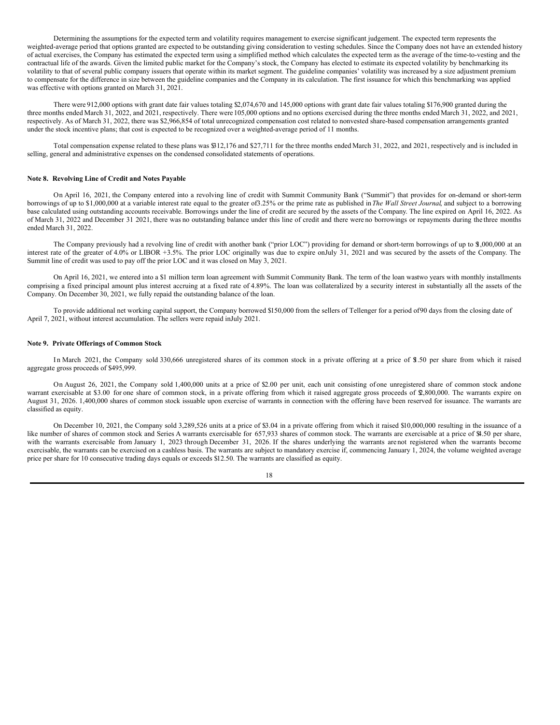Determining the assumptions for the expected term and volatility requires management to exercise significant judgement. The expected term represents the weighted-average period that options granted are expected to be outstanding giving consideration to vesting schedules. Since the Company does not have an extended history of actual exercises, the Company has estimated the expected term using a simplified method which calculates the expected term as the average of the time-to-vesting and the contractual life of the awards. Given the limited public market for the Company's stock, the Company has elected to estimate its expected volatility by benchmarking its volatility to that of several public company issuers that operate within its market segment. The guideline companies' volatility was increased by a size adjustment premium to compensate for the difference in size between the guideline companies and the Company in its calculation. The first issuance for which this benchmarking was applied was effective with options granted on March 31, 2021.

There were 912,000 options with grant date fair values totaling \$2,074,670 and 145,000 options with grant date fair values totaling \$176,900 granted during the three months ended March 31, 2022, and 2021, respectively. There were 105,000 options and no options exercised during the three months ended March 31, 2022, and 2021, respectively. As of March 31, 2022, there was \$2,966,854 of total unrecognized compensation cost related to nonvested share-based compensation arrangements granted under the stock incentive plans; that cost is expected to be recognized over a weighted-average period of 11 months.

Total compensation expense related to these plans was \$312,176 and \$27,711 for the three months ended March 31, 2022, and 2021, respectively and is included in selling, general and administrative expenses on the condensed consolidated statements of operations.

## **Note 8. Revolving Line of Credit and Notes Payable**

On April 16, 2021, the Company entered into a revolving line of credit with Summit Community Bank ("Summit") that provides for on-demand or short-term borrowings of up to \$1,000,000 at a variable interest rate equal to the greater of3.25% or the prime rate as published in*The Wall Street Journal*, and subject to a borrowing base calculated using outstanding accounts receivable. Borrowings under the line of credit are secured by the assets of the Company. The line expired on April 16, 2022. As of March 31, 2022 and December 31 2021, there was no outstanding balance under this line of credit and there were no borrowings or repayments during the three months ended March 31, 2022.

The Company previously had a revolving line of credit with another bank ("prior LOC") providing for demand or short-term borrowings of up to \$,000,000 at an interest rate of the greater of 4.0% or LIBOR +3.5%. The prior LOC originally was due to expire onJuly 31, 2021 and was secured by the assets of the Company. The Summit line of credit was used to pay off the prior LOC and it was closed on May 3, 2021.

On April 16, 2021, we entered into a \$1 million term loan agreement with Summit Community Bank. The term of the loan wastwo years with monthly installments comprising a fixed principal amount plus interest accruing at a fixed rate of 4.89%. The loan was collateralized by a security interest in substantially all the assets of the Company. On December 30, 2021, we fully repaid the outstanding balance of the loan.

To provide additional net working capital support, the Company borrowed \$150,000 from the sellers of Tellenger for a period of90 days from the closing date of April 7, 2021, without interest accumulation. The sellers were repaid inJuly 2021.

#### **Note 9. Private Offerings of Common Stock**

In March 2021, the Company sold 330,666 unregistered shares of its common stock in a private offering at a price of \$1.50 per share from which it raised aggregate gross proceeds of \$495,999.

On August 26, 2021, the Company sold 1,400,000 units at a price of \$2.00 per unit, each unit consisting of one unregistered share of common stock andone warrant exercisable at \$3.00 for one share of common stock, in a private offering from which it raised aggregate gross proceeds of \$,800,000. The warrants expire on August 31, 2026. 1,400,000 shares of common stock issuable upon exercise of warrants in connection with the offering have been reserved for issuance. The warrants are classified as equity.

On December 10, 2021, the Company sold 3,289,526 units at a price of \$3.04 in a private offering from which it raised \$10,000,000 resulting in the issuance of a like number of shares of common stock and Series A warrants exercisable for 657,933 shares of common stock. The warrants are exercisable at a price of \$4.50 per share, with the warrants exercisable from January 1, 2023 through December 31, 2026. If the shares underlying the warrants are not registered when the warrants become exercisable, the warrants can be exercised on a cashless basis. The warrants are subject to mandatory exercise if, commencing January 1, 2024, the volume weighted average price per share for 10 consecutive trading days equals or exceeds \$12.50. The warrants are classified as equity.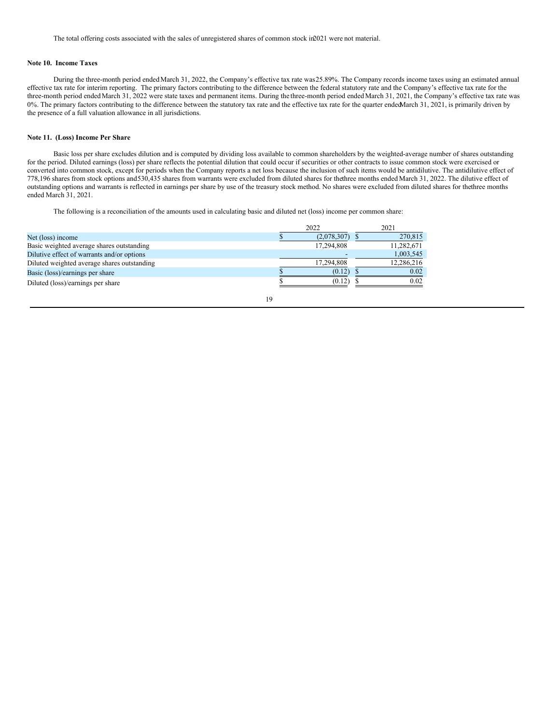The total offering costs associated with the sales of unregistered shares of common stock in2021 were not material.

## **Note 10. Income Taxes**

During the three-month period endedMarch 31, 2022, the Company's effective tax rate was25.89%. The Company records income taxes using an estimated annual effective tax rate for interim reporting. The primary factors contributing to the difference between the federal statutory rate and the Company's effective tax rate for the three-month period endedMarch 31, 2022 were state taxes and permanent items. During the three-month period endedMarch 31, 2021, the Company's effective tax rate was 0%. The primary factors contributing to the difference between the statutory tax rate and the effective tax rate for the quarter endedMarch 31, 2021, is primarily driven by the presence of a full valuation allowance in all jurisdictions.

#### **Note 11. (Loss) Income Per Share**

Basic loss per share excludes dilution and is computed by dividing loss available to common shareholders by the weighted-average number of shares outstanding for the period. Diluted earnings (loss) per share reflects the potential dilution that could occur if securities or other contracts to issue common stock were exercised or converted into common stock, except for periods when the Company reports a net loss because the inclusion of such items would be antidilutive. The antidilutive effect of 778,196 shares from stock options and530,435 shares from warrants were excluded from diluted shares for thethree months ended March 31, 2022. The dilutive effect of outstanding options and warrants is reflected in earnings per share by use of the treasury stock method. No shares were excluded from diluted shares for thethree months ended March 31, 2021.

The following is a reconciliation of the amounts used in calculating basic and diluted net (loss) income per common share:

|                                             | 2022        | 2021       |
|---------------------------------------------|-------------|------------|
| Net (loss) income                           | (2,078,307) | 270,815    |
| Basic weighted average shares outstanding   | 17,294,808  | 11,282,671 |
| Dilutive effect of warrants and/or options  |             | 1,003,545  |
| Diluted weighted average shares outstanding | 17.294.808  | 12,286,216 |
| Basic (loss)/earnings per share             | (0.12)      | 0.02       |
| Diluted (loss)/earnings per share           | (0.12)      | 0.02       |
|                                             |             |            |

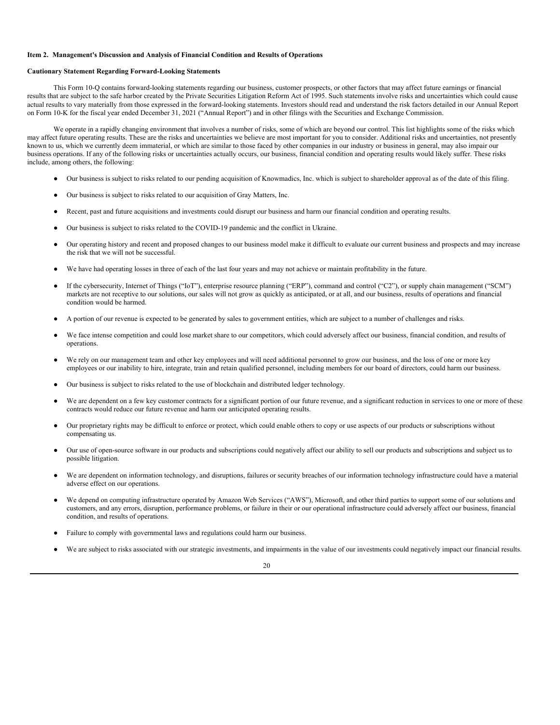## **Item 2. Management's Discussion and Analysis of Financial Condition and Results of Operations**

#### **Cautionary Statement Regarding Forward-Looking Statements**

This Form 10-Q contains forward-looking statements regarding our business, customer prospects, or other factors that may affect future earnings or financial results that are subject to the safe harbor created by the Private Securities Litigation Reform Act of 1995. Such statements involve risks and uncertainties which could cause actual results to vary materially from those expressed in the forward-looking statements. Investors should read and understand the risk factors detailed in our Annual Report on Form 10-K for the fiscal year ended December 31, 2021 ("Annual Report") and in other filings with the Securities and Exchange Commission.

We operate in a rapidly changing environment that involves a number of risks, some of which are beyond our control. This list highlights some of the risks which may affect future operating results. These are the risks and uncertainties we believe are most important for you to consider. Additional risks and uncertainties, not presently known to us, which we currently deem immaterial, or which are similar to those faced by other companies in our industry or business in general, may also impair our business operations. If any of the following risks or uncertainties actually occurs, our business, financial condition and operating results would likely suffer. These risks include, among others, the following:

- Our business is subject to risks related to our pending acquisition of Knowmadics, Inc. which is subject to shareholder approval as of the date of this filing.
- Our business is subject to risks related to our acquisition of Gray Matters, Inc.
- Recent, past and future acquisitions and investments could disrupt our business and harm our financial condition and operating results.
- Our business is subject to risks related to the COVID-19 pandemic and the conflict in Ukraine.
- Our operating history and recent and proposed changes to our business model make it difficult to evaluate our current business and prospects and may increase the risk that we will not be successful.
- We have had operating losses in three of each of the last four years and may not achieve or maintain profitability in the future.
- If the cybersecurity, Internet of Things ("IoT"), enterprise resource planning ("ERP"), command and control ("C2"), or supply chain management ("SCM") markets are not receptive to our solutions, our sales will not grow as quickly as anticipated, or at all, and our business, results of operations and financial condition would be harmed.
- A portion of our revenue is expected to be generated by sales to government entities, which are subject to a number of challenges and risks.
- We face intense competition and could lose market share to our competitors, which could adversely affect our business, financial condition, and results of operations.
- We rely on our management team and other key employees and will need additional personnel to grow our business, and the loss of one or more key employees or our inability to hire, integrate, train and retain qualified personnel, including members for our board of directors, could harm our business.
- Our business is subject to risks related to the use of blockchain and distributed ledger technology.
- We are dependent on a few key customer contracts for a significant portion of our future revenue, and a significant reduction in services to one or more of these contracts would reduce our future revenue and harm our anticipated operating results.
- Our proprietary rights may be difficult to enforce or protect, which could enable others to copy or use aspects of our products or subscriptions without compensating us.
- Our use of open-source software in our products and subscriptions could negatively affect our ability to sell our products and subscriptions and subject us to possible litigation.
- We are dependent on information technology, and disruptions, failures or security breaches of our information technology infrastructure could have a material adverse effect on our operations.
- We depend on computing infrastructure operated by Amazon Web Services ("AWS"), Microsoft, and other third parties to support some of our solutions and customers, and any errors, disruption, performance problems, or failure in their or our operational infrastructure could adversely affect our business, financial condition, and results of operations.
- Failure to comply with governmental laws and regulations could harm our business.
- We are subject to risks associated with our strategic investments, and impairments in the value of our investments could negatively impact our financial results.

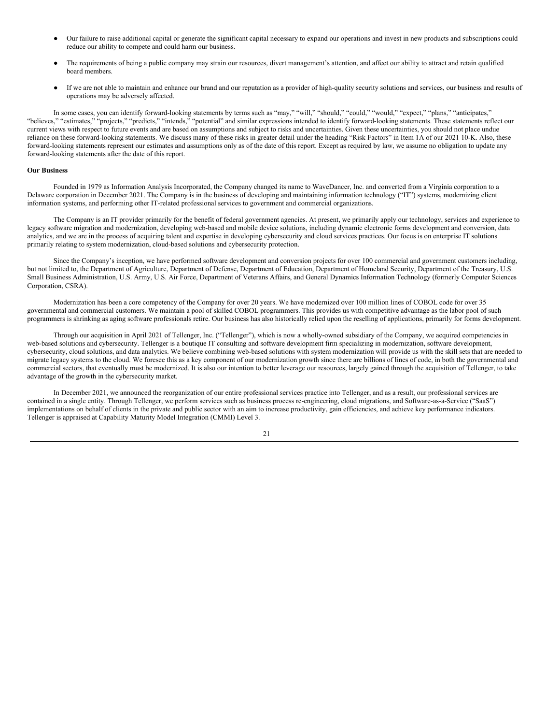- Our failure to raise additional capital or generate the significant capital necessary to expand our operations and invest in new products and subscriptions could reduce our ability to compete and could harm our business.
- The requirements of being a public company may strain our resources, divert management's attention, and affect our ability to attract and retain qualified board members.
- If we are not able to maintain and enhance our brand and our reputation as a provider of high-quality security solutions and services, our business and results of operations may be adversely affected.

In some cases, you can identify forward-looking statements by terms such as "may," "will," "should," "could," "would," "expect," "plans," "anticipates," "believes," "estimates," "projects," "predicts," "intends," "potential" and similar expressions intended to identify forward-looking statements. These statements reflect our current views with respect to future events and are based on assumptions and subject to risks and uncertainties. Given these uncertainties, you should not place undue reliance on these forward-looking statements. We discuss many of these risks in greater detail under the heading "Risk Factors" in Item 1A of our 2021 10-K. Also, these forward-looking statements represent our estimates and assumptions only as of the date of this report. Except as required by law, we assume no obligation to update any forward-looking statements after the date of this report.

### **Our Business**

Founded in 1979 as Information Analysis Incorporated, the Company changed its name to WaveDancer, Inc. and converted from a Virginia corporation to a Delaware corporation in December 2021. The Company is in the business of developing and maintaining information technology ("IT") systems, modernizing client information systems, and performing other IT-related professional services to government and commercial organizations.

The Company is an IT provider primarily for the benefit of federal government agencies. At present, we primarily apply our technology, services and experience to legacy software migration and modernization, developing web-based and mobile device solutions, including dynamic electronic forms development and conversion, data analytics, and we are in the process of acquiring talent and expertise in developing cybersecurity and cloud services practices. Our focus is on enterprise IT solutions primarily relating to system modernization, cloud-based solutions and cybersecurity protection.

Since the Company's inception, we have performed software development and conversion projects for over 100 commercial and government customers including, but not limited to, the Department of Agriculture, Department of Defense, Department of Education, Department of Homeland Security, Department of the Treasury, U.S. Small Business Administration, U.S. Army, U.S. Air Force, Department of Veterans Affairs, and General Dynamics Information Technology (formerly Computer Sciences Corporation, CSRA).

Modernization has been a core competency of the Company for over 20 years. We have modernized over 100 million lines of COBOL code for over 35 governmental and commercial customers. We maintain a pool of skilled COBOL programmers. This provides us with competitive advantage as the labor pool of such programmers is shrinking as aging software professionals retire. Our business has also historically relied upon the reselling of applications, primarily for forms development.

Through our acquisition in April 2021 of Tellenger, Inc. ("Tellenger"), which is now a wholly-owned subsidiary of the Company, we acquired competencies in web-based solutions and cybersecurity. Tellenger is a boutique IT consulting and software development firm specializing in modernization, software development, cybersecurity, cloud solutions, and data analytics. We believe combining web-based solutions with system modernization will provide us with the skill sets that are needed to migrate legacy systems to the cloud. We foresee this as a key component of our modernization growth since there are billions of lines of code, in both the governmental and commercial sectors, that eventually must be modernized. It is also our intention to better leverage our resources, largely gained through the acquisition of Tellenger, to take advantage of the growth in the cybersecurity market.

In December 2021, we announced the reorganization of our entire professional services practice into Tellenger, and as a result, our professional services are contained in a single entity. Through Tellenger, we perform services such as business process re-engineering, cloud migrations, and Software-as-a-Service ("SaaS") implementations on behalf of clients in the private and public sector with an aim to increase productivity, gain efficiencies, and achieve key performance indicators. Tellenger is appraised at Capability Maturity Model Integration (CMMI) Level 3.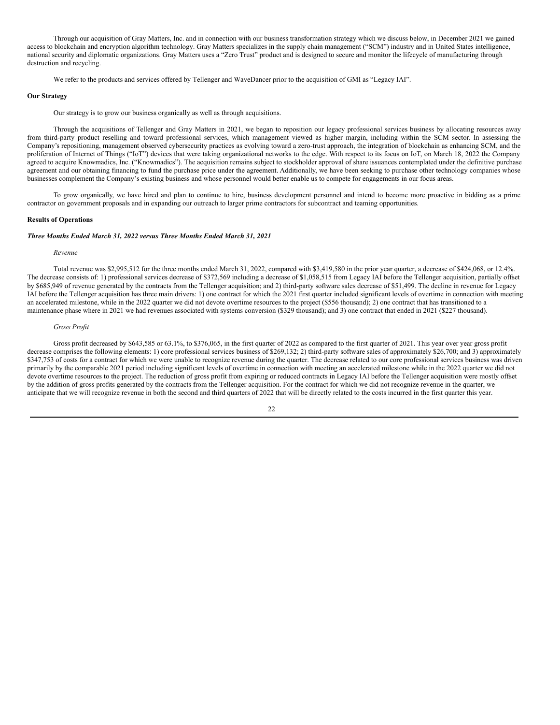Through our acquisition of Gray Matters, Inc. and in connection with our business transformation strategy which we discuss below, in December 2021 we gained access to blockchain and encryption algorithm technology. Gray Matters specializes in the supply chain management ("SCM") industry and in United States intelligence, national security and diplomatic organizations. Gray Matters uses a "Zero Trust" product and is designed to secure and monitor the lifecycle of manufacturing through destruction and recycling.

We refer to the products and services offered by Tellenger and WaveDancer prior to the acquisition of GMI as "Legacy IAI".

## **Our Strategy**

Our strategy is to grow our business organically as well as through acquisitions.

Through the acquisitions of Tellenger and Gray Matters in 2021, we began to reposition our legacy professional services business by allocating resources away from third-party product reselling and toward professional services, which management viewed as higher margin, including within the SCM sector. In assessing the Company's repositioning, management observed cybersecurity practices as evolving toward a zero-trust approach, the integration of blockchain as enhancing SCM, and the proliferation of Internet of Things ("IoT") devices that were taking organizational networks to the edge. With respect to its focus on IoT, on March 18, 2022 the Company agreed to acquire Knowmadics, Inc. ("Knowmadics"). The acquisition remains subject to stockholder approval of share issuances contemplated under the definitive purchase agreement and our obtaining financing to fund the purchase price under the agreement. Additionally, we have been seeking to purchase other technology companies whose businesses complement the Company's existing business and whose personnel would better enable us to compete for engagements in our focus areas.

To grow organically, we have hired and plan to continue to hire, business development personnel and intend to become more proactive in bidding as a prime contractor on government proposals and in expanding our outreach to larger prime contractors for subcontract and teaming opportunities.

#### **Results of Operations**

#### *Three Months Ended March 31, 2022 versus Three Months Ended March 31, 2021*

#### *Revenue*

Total revenue was \$2,995,512 for the three months ended March 31, 2022, compared with \$3,419,580 in the prior year quarter, a decrease of \$424,068, or 12.4%. The decrease consists of: 1) professional services decrease of \$372,569 including a decrease of \$1,058,515 from Legacy IAI before the Tellenger acquisition, partially offset by \$685,949 of revenue generated by the contracts from the Tellenger acquisition; and 2) third-party software sales decrease of \$51,499. The decline in revenue for Legacy IAI before the Tellenger acquisition has three main drivers: 1) one contract for which the 2021 first quarter included significant levels of overtime in connection with meeting an accelerated milestone, while in the 2022 quarter we did not devote overtime resources to the project (\$556 thousand); 2) one contract that has transitioned to a maintenance phase where in 2021 we had revenues associated with systems conversion (\$329 thousand); and 3) one contract that ended in 2021 (\$227 thousand).

#### *Gross Profit*

Gross profit decreased by \$643,585 or 63.1%, to \$376,065, in the first quarter of 2022 as compared to the first quarter of 2021. This year over year gross profit decrease comprises the following elements: 1) core professional services business of \$269,132; 2) third-party software sales of approximately \$26,700; and 3) approximately \$347,753 of costs for a contract for which we were unable to recognize revenue during the quarter. The decrease related to our core professional services business was driven primarily by the comparable 2021 period including significant levels of overtime in connection with meeting an accelerated milestone while in the 2022 quarter we did not devote overtime resources to the project. The reduction of gross profit from expiring or reduced contracts in Legacy IAI before the Tellenger acquisition were mostly offset by the addition of gross profits generated by the contracts from the Tellenger acquisition. For the contract for which we did not recognize revenue in the quarter, we anticipate that we will recognize revenue in both the second and third quarters of 2022 that will be directly related to the costs incurred in the first quarter this year.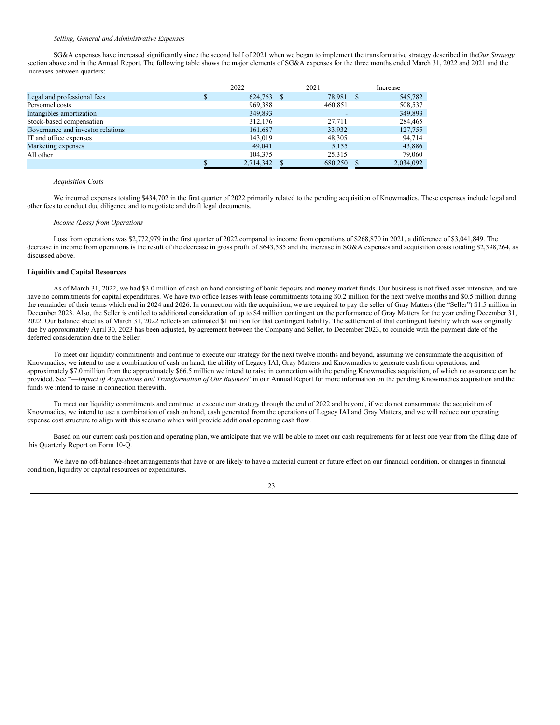#### *Selling, General and Administrative Expenses*

SG&A expenses have increased significantly since the second half of 2021 when we began to implement the transformative strategy described in the*Our Strategy* section above and in the Annual Report. The following table shows the major elements of SG&A expenses for the three months ended March 31, 2022 and 2021 and the increases between quarters:

|                                   | 2022         | 2021 |           | Increase |           |
|-----------------------------------|--------------|------|-----------|----------|-----------|
| Legal and professional fees       | 624,763 \$   |      | 78,981 \$ |          | 545,782   |
| Personnel costs                   | 969,388      |      | 460,851   |          | 508,537   |
| Intangibles amortization          | 349,893      |      |           |          | 349,893   |
| Stock-based compensation          | 312,176      |      | 27,711    |          | 284,465   |
| Governance and investor relations | 161,687      |      | 33,932    |          | 127,755   |
| IT and office expenses            | 143,019      |      | 48,305    |          | 94,714    |
| Marketing expenses                | 49.041       |      | 5.155     |          | 43,886    |
| All other                         | 104,375      |      | 25,315    |          | 79,060    |
|                                   | 2,714,342 \$ |      | 680,250   |          | 2.034.092 |

#### *Acquisition Costs*

We incurred expenses totaling \$434,702 in the first quarter of 2022 primarily related to the pending acquisition of Knowmadics. These expenses include legal and other fees to conduct due diligence and to negotiate and draft legal documents.

#### *Income (Loss) from Operations*

Loss from operations was \$2,772,979 in the first quarter of 2022 compared to income from operations of \$268,870 in 2021, a difference of \$3,041,849. The decrease in income from operations is the result of the decrease in gross profit of \$643,585 and the increase in SG&A expenses and acquisition costs totaling \$2,398,264, as discussed above.

## **Liquidity and Capital Resources**

As of March 31, 2022, we had \$3.0 million of cash on hand consisting of bank deposits and money market funds. Our business is not fixed asset intensive, and we have no commitments for capital expenditures. We have two office leases with lease commitments totaling \$0.2 million for the next twelve months and \$0.5 million during the remainder of their terms which end in 2024 and 2026. In connection with the acquisition, we are required to pay the seller of Gray Matters (the "Seller") \$1.5 million in December 2023. Also, the Seller is entitled to additional consideration of up to \$4 million contingent on the performance of Gray Matters for the year ending December 31, 2022. Our balance sheet as of March 31, 2022 reflects an estimated \$1 million for that contingent liability. The settlement of that contingent liability which was originally due by approximately April 30, 2023 has been adjusted, by agreement between the Company and Seller, to December 2023, to coincide with the payment date of the deferred consideration due to the Seller.

To meet our liquidity commitments and continue to execute our strategy for the next twelve months and beyond, assuming we consummate the acquisition of Knowmadics, we intend to use a combination of cash on hand, the ability of Legacy IAI, Gray Matters and Knowmadics to generate cash from operations, and approximately \$7.0 million from the approximately \$66.5 million we intend to raise in connection with the pending Knowmadics acquisition, of which no assurance can be provided. See "—*Impact of Acquisitions and Transformation of Our Business*" in our Annual Report for more information on the pending Knowmadics acquisition and the funds we intend to raise in connection therewith.

To meet our liquidity commitments and continue to execute our strategy through the end of 2022 and beyond, if we do not consummate the acquisition of Knowmadics, we intend to use a combination of cash on hand, cash generated from the operations of Legacy IAI and Gray Matters, and we will reduce our operating expense cost structure to align with this scenario which will provide additional operating cash flow.

Based on our current cash position and operating plan, we anticipate that we will be able to meet our cash requirements for at least one year from the filing date of this Quarterly Report on Form 10-Q.

We have no off-balance-sheet arrangements that have or are likely to have a material current or future effect on our financial condition, or changes in financial condition, liquidity or capital resources or expenditures.

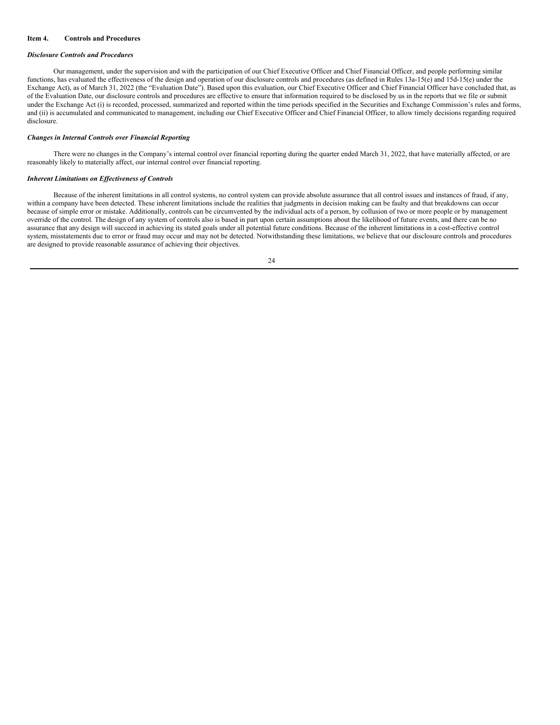#### **Item 4. Controls and Procedures**

## *Disclosure Controls and Procedures*

Our management, under the supervision and with the participation of our Chief Executive Officer and Chief Financial Officer, and people performing similar functions, has evaluated the effectiveness of the design and operation of our disclosure controls and procedures (as defined in Rules 13a-15(e) and 15d-15(e) under the Exchange Act), as of March 31, 2022 (the "Evaluation Date"). Based upon this evaluation, our Chief Executive Officer and Chief Financial Officer have concluded that, as of the Evaluation Date, our disclosure controls and procedures are effective to ensure that information required to be disclosed by us in the reports that we file or submit under the Exchange Act (i) is recorded, processed, summarized and reported within the time periods specified in the Securities and Exchange Commission's rules and forms, and (ii) is accumulated and communicated to management, including our Chief Executive Officer and Chief Financial Officer, to allow timely decisions regarding required disclosure.

## *Changes in Internal Controls over Financial Reporting*

There were no changes in the Company's internal control over financial reporting during the quarter ended March 31, 2022, that have materially affected, or are reasonably likely to materially affect, our internal control over financial reporting.

### *Inherent Limitations on Ef ectiveness of Controls*

Because of the inherent limitations in all control systems, no control system can provide absolute assurance that all control issues and instances of fraud, if any, within a company have been detected. These inherent limitations include the realities that judgments in decision making can be faulty and that breakdowns can occur because of simple error or mistake. Additionally, controls can be circumvented by the individual acts of a person, by collusion of two or more people or by management override of the control. The design of any system of controls also is based in part upon certain assumptions about the likelihood of future events, and there can be no assurance that any design will succeed in achieving its stated goals under all potential future conditions. Because of the inherent limitations in a cost-effective control system, misstatements due to error or fraud may occur and may not be detected. Notwithstanding these limitations, we believe that our disclosure controls and procedures are designed to provide reasonable assurance of achieving their objectives.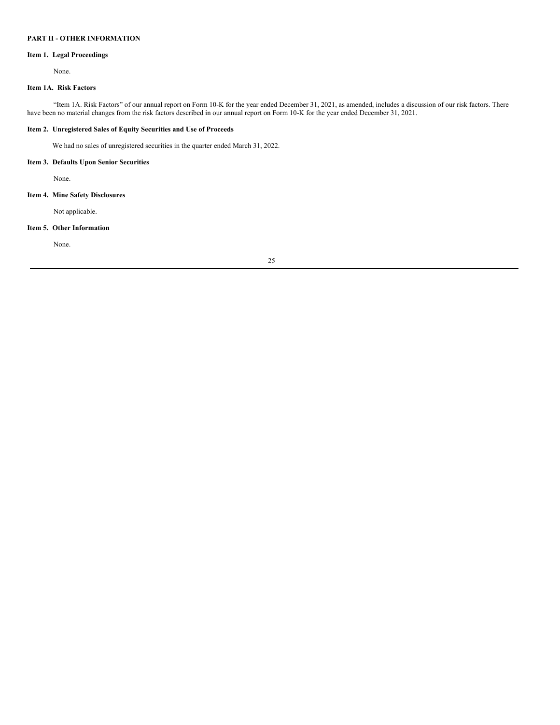# **PART II - OTHER INFORMATION**

#### **Item 1. Legal Proceedings**

None.

## **Item 1A. Risk Factors**

"Item 1A. Risk Factors" of our annual report on Form 10-K for the year ended December 31, 2021, as amended, includes a discussion of our risk factors. There have been no material changes from the risk factors described in our annual report on Form 10-K for the year ended December 31, 2021.

# **Item 2. Unregistered Sales of Equity Securities and Use of Proceeds**

We had no sales of unregistered securities in the quarter ended March 31, 2022.

## **Item 3. Defaults Upon Senior Securities**

None.

# **Item 4. Mine Safety Disclosures**

Not applicable.

# **Item 5. Other Information**

None.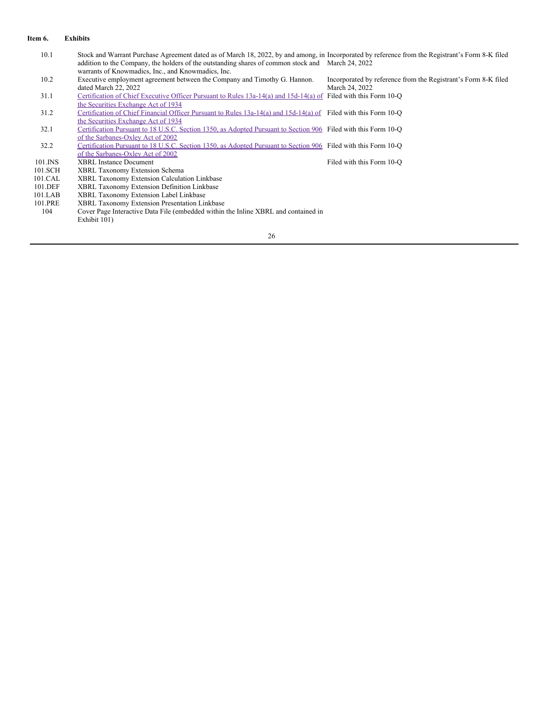## **Item 6. Exhibits**

| 10.1    | Stock and Warrant Purchase Agreement dated as of March 18, 2022, by and among, in Incorporated by reference from the Registrant's Form 8-K filed<br>addition to the Company, the holders of the outstanding shares of common stock and March 24, 2022<br>warrants of Knowmadics, Inc., and Knowmadics, Inc. |                                                                                  |
|---------|-------------------------------------------------------------------------------------------------------------------------------------------------------------------------------------------------------------------------------------------------------------------------------------------------------------|----------------------------------------------------------------------------------|
| 10.2    | Executive employment agreement between the Company and Timothy G. Hannon.<br>dated March 22, 2022                                                                                                                                                                                                           | Incorporated by reference from the Registrant's Form 8-K filed<br>March 24, 2022 |
| 31.1    | Certification of Chief Executive Officer Pursuant to Rules 13a-14(a) and 15d-14(a) of Filed with this Form 10-O<br>the Securities Exchange Act of 1934                                                                                                                                                      |                                                                                  |
| 31.2    | Certification of Chief Financial Officer Pursuant to Rules $13a-14(a)$ and $15d-14(a)$ of Filed with this Form 10-Q<br>the Securities Exchange Act of 1934                                                                                                                                                  |                                                                                  |
| 32.1    | Certification Pursuant to 18 U.S.C. Section 1350, as Adopted Pursuant to Section 906 Filed with this Form 10-Q<br>of the Sarbanes-Oxley Act of 2002                                                                                                                                                         |                                                                                  |
| 32.2    | Certification Pursuant to 18 U.S.C. Section 1350, as Adopted Pursuant to Section 906 Filed with this Form 10-Q<br>of the Sarbanes-Oxley Act of 2002                                                                                                                                                         |                                                                                  |
| 101.INS | <b>XBRL Instance Document</b>                                                                                                                                                                                                                                                                               | Filed with this Form 10-Q                                                        |
| 101.SCH | XBRL Taxonomy Extension Schema                                                                                                                                                                                                                                                                              |                                                                                  |
| 101.CAL | <b>XBRL Taxonomy Extension Calculation Linkbase</b>                                                                                                                                                                                                                                                         |                                                                                  |
| 101.DEF | XBRL Taxonomy Extension Definition Linkbase                                                                                                                                                                                                                                                                 |                                                                                  |
| 101.LAB | XBRL Taxonomy Extension Label Linkbase                                                                                                                                                                                                                                                                      |                                                                                  |
| 101.PRE | XBRL Taxonomy Extension Presentation Linkbase                                                                                                                                                                                                                                                               |                                                                                  |
| 104     | Cover Page Interactive Data File (embedded within the Inline XBRL and contained in<br>Exhibit 101)                                                                                                                                                                                                          |                                                                                  |
|         |                                                                                                                                                                                                                                                                                                             |                                                                                  |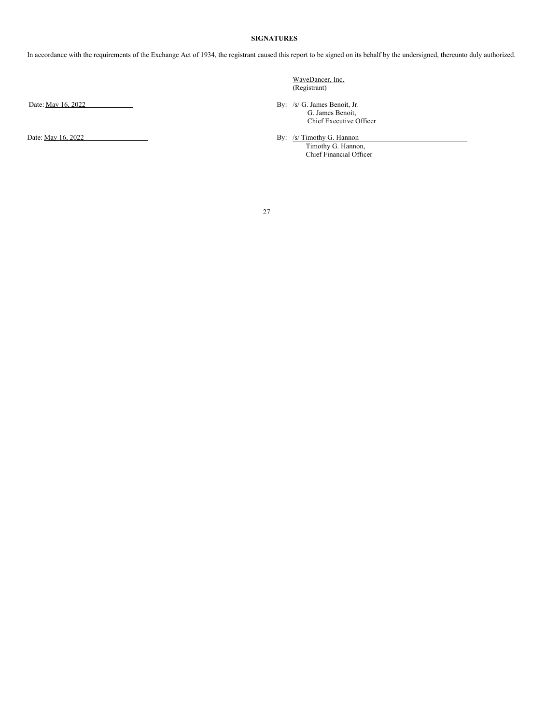## **SIGNATURES**

In accordance with the requirements of the Exchange Act of 1934, the registrant caused this report to be signed on its behalf by the undersigned, thereunto duly authorized.

WaveDancer, Inc. (Registrant)

Date: <u>May 16, 2022</u> By: /s/ G. James Benoit, Jr.

Date: <u>May 16, 2022</u> **By:** /s/ Timothy G. Hannon

G. James Benoit, Chief Executive Officer

Timothy G. Hannon, Chief Financial Officer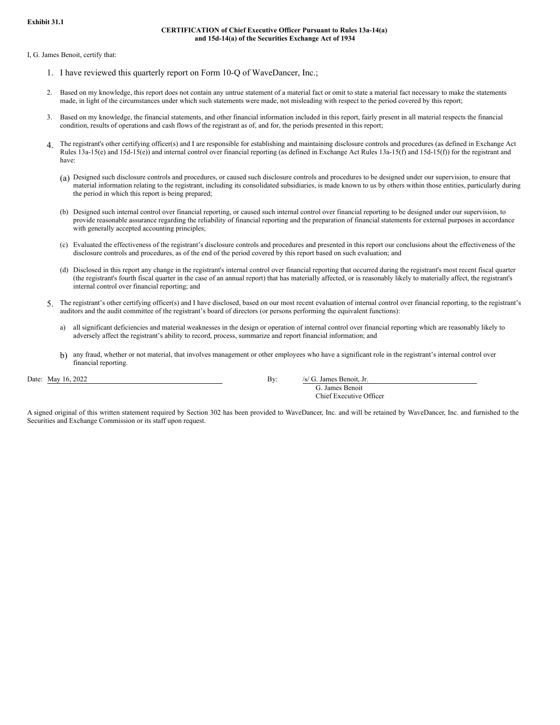## **CERTIFICATION of Chief Executive Officer Pursuant to Rules 13a-14(a) and 15d-14(a) of the Securities Exchange Act of 1934**

<span id="page-27-0"></span>I, G. James Benoit, certify that:

- 1. I have reviewed this quarterly report on Form 10-Q of WaveDancer, Inc.;
- 2. Based on my knowledge, this report does not contain any untrue statement of a material fact or omit to state a material fact necessary to make the statements made, in light of the circumstances under which such statements were made, not misleading with respect to the period covered by this report;
- 3. Based on my knowledge, the financial statements, and other financial information included in this report, fairly present in all material respects the financial condition, results of operations and cash flows of the registrant as of, and for, the periods presented in this report;
- 4. The registrant's other certifying officer(s) and I are responsible for establishing and maintaining disclosure controls and procedures (as defined in Exchange Act Rules 13a-15(e) and 15d-15(e)) and internal control over financial reporting (as defined in Exchange Act Rules 13a-15(f) and 15d-15(f)) for the registrant and have:
	- (a) Designed such disclosure controls and procedures, or caused such disclosure controls and procedures to be designed under our supervision, to ensure that material information relating to the registrant, including its consolidated subsidiaries, is made known to us by others within those entities, particularly during the period in which this report is being prepared;
	- (b) Designed such internal control over financial reporting, or caused such internal control over financial reporting to be designed under our supervision, to provide reasonable assurance regarding the reliability of financial reporting and the preparation of financial statements for external purposes in accordance with generally accepted accounting principles;
	- (c) Evaluated the effectiveness of the registrant's disclosure controls and procedures and presented in this report our conclusions about the effectiveness of the disclosure controls and procedures, as of the end of the period covered by this report based on such evaluation; and
	- (d) Disclosed in this report any change in the registrant's internal control over financial reporting that occurred during the registrant's most recent fiscal quarter (the registrant's fourth fiscal quarter in the case of an annual report) that has materially affected, or is reasonably likely to materially affect, the registrant's internal control over financial reporting; and
- 5. The registrant's other certifying officer(s) and I have disclosed, based on our most recent evaluation of internal control over financial reporting, to the registrant's auditors and the audit committee of the registrant's board of directors (or persons performing the equivalent functions):
	- a) all significant deficiencies and material weaknesses in the design or operation of internal control over financial reporting which are reasonably likely to adversely affect the registrant's ability to record, process, summarize and report financial information; and
	- b) any fraud, whether or not material, that involves management or other employees who have a significant role in the registrant's internal control over financial reporting.

Date: May 16, 2022 By: /s/ G. James Benoit, Jr.

G. James Benoit Chief Executive Officer

A signed original of this written statement required by Section 302 has been provided to WaveDancer, Inc. and will be retained by WaveDancer, Inc. and furnished to the Securities and Exchange Commission or its staff upon request.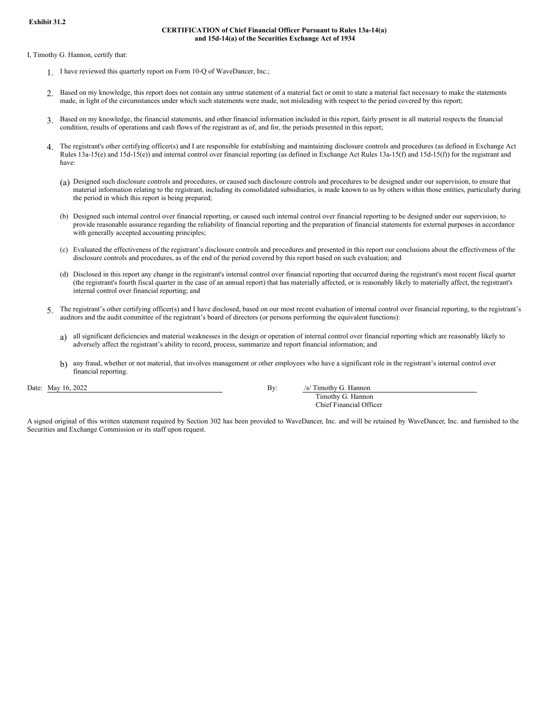## **CERTIFICATION of Chief Financial Officer Pursuant to Rules 13a-14(a) and 15d-14(a) of the Securities Exchange Act of 1934**

<span id="page-28-0"></span>I, Timothy G. Hannon, certify that:

- 1. I have reviewed this quarterly report on Form 10-Q of WaveDancer, Inc.;
- 2. Based on my knowledge, this report does not contain any untrue statement of a material fact or omit to state a material fact necessary to make the statements made, in light of the circumstances under which such statements were made, not misleading with respect to the period covered by this report;
- 3. Based on my knowledge, the financial statements, and other financial information included in this report, fairly present in all material respects the financial condition, results of operations and cash flows of the registrant as of, and for, the periods presented in this report;
- 4. The registrant's other certifying officer(s) and I are responsible for establishing and maintaining disclosure controls and procedures (as defined in Exchange Act Rules 13a-15(e) and 15d-15(e)) and internal control over financial reporting (as defined in Exchange Act Rules 13a-15(f) and 15d-15(f)) for the registrant and have:
	- (a) Designed such disclosure controls and procedures, or caused such disclosure controls and procedures to be designed under our supervision, to ensure that material information relating to the registrant, including its consolidated subsidiaries, is made known to us by others within those entities, particularly during the period in which this report is being prepared;
	- (b) Designed such internal control over financial reporting, or caused such internal control over financial reporting to be designed under our supervision, to provide reasonable assurance regarding the reliability of financial reporting and the preparation of financial statements for external purposes in accordance with generally accepted accounting principles;
	- (c) Evaluated the effectiveness of the registrant's disclosure controls and procedures and presented in this report our conclusions about the effectiveness of the disclosure controls and procedures, as of the end of the period covered by this report based on such evaluation; and
	- (d) Disclosed in this report any change in the registrant's internal control over financial reporting that occurred during the registrant's most recent fiscal quarter (the registrant's fourth fiscal quarter in the case of an annual report) that has materially affected, or is reasonably likely to materially affect, the registrant's internal control over financial reporting; and
- 5. The registrant's other certifying officer(s) and I have disclosed, based on our most recent evaluation of internal control over financial reporting, to the registrant's auditors and the audit committee of the registrant's board of directors (or persons performing the equivalent functions):
	- a) all significant deficiencies and material weaknesses in the design or operation of internal control over financial reporting which are reasonably likely to adversely affect the registrant's ability to record, process, summarize and report financial information; and
	- b) any fraud, whether or not material, that involves management or other employees who have a significant role in the registrant's internal control over financial reporting.

Date: May 16, 2022 By: /s/ Timothy G. Hannon

Timothy G. Hannon Chief Financial Officer

A signed original of this written statement required by Section 302 has been provided to WaveDancer, Inc. and will be retained by WaveDancer, Inc. and furnished to the Securities and Exchange Commission or its staff upon request.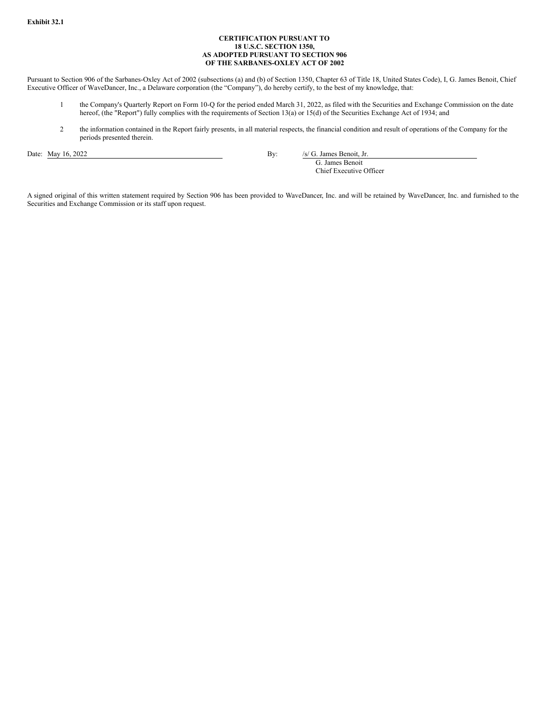## **CERTIFICATION PURSUANT TO 18 U.S.C. SECTION 1350, AS ADOPTED PURSUANT TO SECTION 906 OF THE SARBANES-OXLEY ACT OF 2002**

<span id="page-29-0"></span>Pursuant to Section 906 of the Sarbanes-Oxley Act of 2002 (subsections (a) and (b) of Section 1350, Chapter 63 of Title 18, United States Code), I, G. James Benoit, Chief Executive Officer of WaveDancer, Inc., a Delaware corporation (the "Company"), do hereby certify, to the best of my knowledge, that:

- 1 the Company's Quarterly Report on Form 10-Q for the period ended March 31, 2022, as filed with the Securities and Exchange Commission on the date hereof, (the "Report") fully complies with the requirements of Section 13(a) or 15(d) of the Securities Exchange Act of 1934; and
- 2 the information contained in the Report fairly presents, in all material respects, the financial condition and result of operations of the Company for the periods presented therein.

Date: May 16, 2022 By: /s/ G. James Benoit, Jr.

G. James Benoit Chief Executive Officer

A signed original of this written statement required by Section 906 has been provided to WaveDancer, Inc. and will be retained by WaveDancer, Inc. and furnished to the Securities and Exchange Commission or its staff upon request.